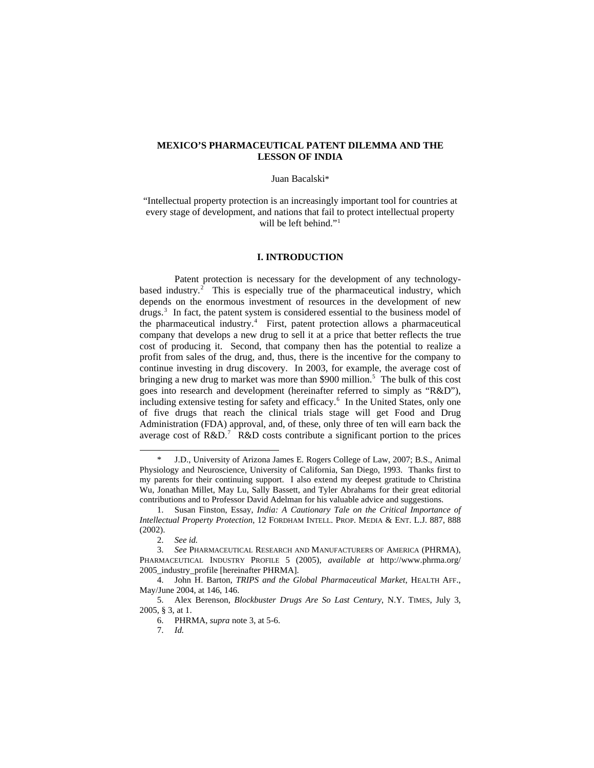## **MEXICO'S PHARMACEUTICAL PATENT DILEMMA AND THE LESSON OF INDIA**

#### Juan Bacalski\*

"Intellectual property protection is an increasingly important tool for countries at every stage of development, and nations that fail to protect intellectual property will be left behind."<sup>[1](#page-0-0)</sup>

#### **I. INTRODUCTION**

 Patent protection is necessary for the development of any technology-based industry.<sup>[2](#page-0-1)</sup> This is especially true of the pharmaceutical industry, which depends on the enormous investment of resources in the development of new drugs.<sup>[3](#page-0-2)</sup> In fact, the patent system is considered essential to the business model of the pharmaceutical industry.<sup>[4](#page-0-3)</sup> First, patent protection allows a pharmaceutical company that develops a new drug to sell it at a price that better reflects the true cost of producing it. Second, that company then has the potential to realize a profit from sales of the drug, and, thus, there is the incentive for the company to continue investing in drug discovery. In 2003, for example, the average cost of bringing a new drug to market was more than \$900 million.<sup>[5](#page-0-4)</sup> The bulk of this cost goes into research and development (hereinafter referred to simply as "R&D"), including extensive testing for safety and efficacy.<sup>[6](#page-0-5)</sup> In the United States, only one of five drugs that reach the clinical trials stage will get Food and Drug Administration (FDA) approval, and, of these, only three of ten will earn back the average cost of  $R&D$ .<sup>[7](#page-0-6)</sup>  $R&D$  costs contribute a significant portion to the prices

-

7. *Id.* 

<span id="page-0-0"></span>J.D., University of Arizona James E. Rogers College of Law, 2007; B.S., Animal Physiology and Neuroscience, University of California, San Diego, 1993. Thanks first to my parents for their continuing support. I also extend my deepest gratitude to Christina Wu, Jonathan Millet, May Lu, Sally Bassett, and Tyler Abrahams for their great editorial contributions and to Professor David Adelman for his valuable advice and suggestions.

<sup>1.</sup> Susan Finston, Essay, *India: A Cautionary Tale on the Critical Importance of Intellectual Property Protection*, 12 FORDHAM INTELL. PROP. MEDIA & ENT. L.J. 887, 888 (2002).

<sup>2.</sup> *See id.* 

<span id="page-0-2"></span><span id="page-0-1"></span><sup>3.</sup> *See* PHARMACEUTICAL RESEARCH AND MANUFACTURERS OF AMERICA (PHRMA), PHARMACEUTICAL INDUSTRY PROFILE 5 (2005), *available at* http://www.phrma.org/ 2005\_industry\_profile [hereinafter PHRMA].

<span id="page-0-3"></span><sup>4.</sup> John H. Barton, *TRIPS and the Global Pharmaceutical Market*, HEALTH AFF., May/June 2004, at 146, 146.

<span id="page-0-6"></span><span id="page-0-5"></span><span id="page-0-4"></span><sup>5.</sup> Alex Berenson, *Blockbuster Drugs Are So Last Century*, N.Y. TIMES, July 3, 2005, § 3, at 1.

<sup>6.</sup> PHRMA, *supra* note 3, at 5-6.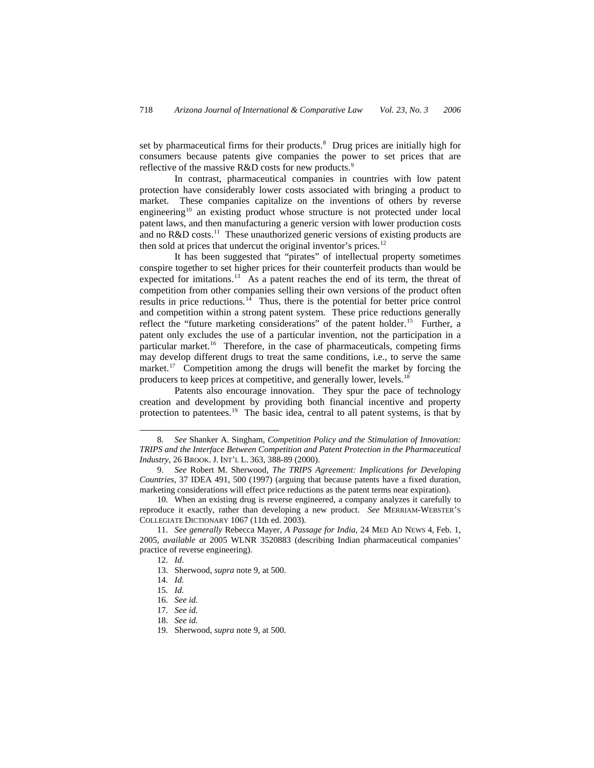set by pharmaceutical firms for their products.<sup>[8](#page-1-0)</sup> Drug prices are initially high for consumers because patents give companies the power to set prices that are reflective of the massive R&D costs for new products.<sup>[9](#page-1-1)</sup>

 In contrast, pharmaceutical companies in countries with low patent protection have considerably lower costs associated with bringing a product to market. These companies capitalize on the inventions of others by reverse engineering<sup>[10](#page-1-2)</sup> an existing product whose structure is not protected under local patent laws, and then manufacturing a generic version with lower production costs and no  $R&D$  costs.<sup>[11](#page-1-3)</sup> These unauthorized generic versions of existing products are then sold at prices that undercut the original inventor's prices.<sup>[12](#page-1-4)</sup>

 It has been suggested that "pirates" of intellectual property sometimes conspire together to set higher prices for their counterfeit products than would be expected for imitations.<sup>[13](#page-1-5)</sup> As a patent reaches the end of its term, the threat of competition from other companies selling their own versions of the product often results in price reductions. $14$  Thus, there is the potential for better price control and competition within a strong patent system. These price reductions generally reflect the "future marketing considerations" of the patent holder.<sup>[15](#page-1-7)</sup> Further, a patent only excludes the use of a particular invention, not the participation in a particular market.<sup>[16](#page-1-8)</sup> Therefore, in the case of pharmaceuticals, competing firms may develop different drugs to treat the same conditions, i.e., to serve the same market.<sup>[17](#page-1-9)</sup> Competition among the drugs will benefit the market by forcing the producers to keep prices at competitive, and generally lower, levels.[18](#page-1-10)

 Patents also encourage innovation. They spur the pace of technology creation and development by providing both financial incentive and property protection to patentees.<sup>[19](#page-1-11)</sup> The basic idea, central to all patent systems, is that by

 $\overline{a}$ 

<span id="page-1-10"></span>18. *See id.* 

<span id="page-1-0"></span><sup>8.</sup> *See* Shanker A. Singham, *Competition Policy and the Stimulation of Innovation: TRIPS and the Interface Between Competition and Patent Protection in the Pharmaceutical Industry*, 26 BROOK. J. INT'L L. 363, 388-89 (2000).

<span id="page-1-1"></span><sup>9.</sup> *See* Robert M. Sherwood, *The TRIPS Agreement: Implications for Developing Countries*, 37 IDEA 491, 500 (1997) (arguing that because patents have a fixed duration, marketing considerations will effect price reductions as the patent terms near expiration).

<span id="page-1-2"></span><sup>10.</sup> When an existing drug is reverse engineered, a company analyzes it carefully to reproduce it exactly, rather than developing a new product. *See* MERRIAM-WEBSTER'S COLLEGIATE DICTIONARY 1067 (11th ed. 2003).

<span id="page-1-8"></span><span id="page-1-7"></span><span id="page-1-6"></span><span id="page-1-5"></span><span id="page-1-4"></span><span id="page-1-3"></span><sup>11.</sup> *See generally* Rebecca Mayer, *A Passage for India*, 24 MED AD NEWS 4, Feb. 1, 2005, *available at* 2005 WLNR 3520883 (describing Indian pharmaceutical companies' practice of reverse engineering).

<sup>12.</sup> *Id*.

<sup>13.</sup> Sherwood, *supra* note 9, at 500.

<sup>14.</sup> *Id.* 

<sup>15.</sup> *Id.*

<sup>16.</sup> *See id.* 

<span id="page-1-9"></span><sup>17.</sup> *See id.* 

<span id="page-1-11"></span><sup>19.</sup> Sherwood, *supra* note 9, at 500.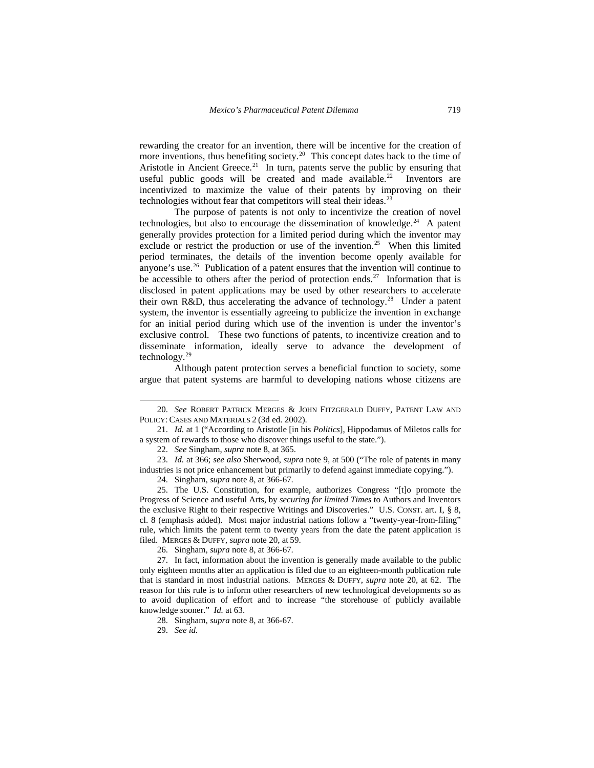rewarding the creator for an invention, there will be incentive for the creation of more inventions, thus benefiting society.<sup>[20](#page-2-0)</sup> This concept dates back to the time of Aristotle in Ancient Greece.<sup>[21](#page-2-1)</sup> In turn, patents serve the public by ensuring that useful public goods will be created and made available.<sup>[22](#page-2-2)</sup> Inventors are incentivized to maximize the value of their patents by improving on their technologies without fear that competitors will steal their ideas.<sup>[23](#page-2-3)</sup>

 The purpose of patents is not only to incentivize the creation of novel technologies, but also to encourage the dissemination of knowledge.<sup>[24](#page-2-4)</sup> A patent generally provides protection for a limited period during which the inventor may exclude or restrict the production or use of the invention.<sup>[25](#page-2-5)</sup> When this limited period terminates, the details of the invention become openly available for anyone's use. $26$  Publication of a patent ensures that the invention will continue to be accessible to others after the period of protection ends.<sup>[27](#page-2-7)</sup> Information that is disclosed in patent applications may be used by other researchers to accelerate their own R&D, thus accelerating the advance of technology.<sup>[28](#page-2-8)</sup> Under a patent system, the inventor is essentially agreeing to publicize the invention in exchange for an initial period during which use of the invention is under the inventor's exclusive control. These two functions of patents, to incentivize creation and to disseminate information, ideally serve to advance the development of technology.[29](#page-2-9)

 Although patent protection serves a beneficial function to society, some argue that patent systems are harmful to developing nations whose citizens are

<span id="page-2-0"></span><sup>20.</sup> *See* ROBERT PATRICK MERGES & JOHN FITZGERALD DUFFY, PATENT LAW AND POLICY: CASES AND MATERIALS 2 (3d ed. 2002).

<span id="page-2-1"></span><sup>21.</sup> *Id.* at 1 ("According to Aristotle [in his *Politics*], Hippodamus of Miletos calls for a system of rewards to those who discover things useful to the state.").

<sup>22.</sup> *See* Singham, *supra* note 8, at 365.

<span id="page-2-3"></span><span id="page-2-2"></span><sup>23.</sup> *Id.* at 366; *see also* Sherwood, *supra* note 9, at 500 ("The role of patents in many industries is not price enhancement but primarily to defend against immediate copying.").

<sup>24.</sup> Singham, *supra* note 8, at 366-67.

<span id="page-2-5"></span><span id="page-2-4"></span><sup>25.</sup> The U.S. Constitution, for example, authorizes Congress "[t]o promote the Progress of Science and useful Arts, by *securing for limited Times* to Authors and Inventors the exclusive Right to their respective Writings and Discoveries." U.S. CONST. art. I, § 8, cl. 8 (emphasis added). Most major industrial nations follow a "twenty-year-from-filing" rule, which limits the patent term to twenty years from the date the patent application is filed. MERGES & DUFFY*, supra* note 20, at 59.

<sup>26.</sup> Singham, *supra* note 8, at 366-67.

<span id="page-2-9"></span><span id="page-2-8"></span><span id="page-2-7"></span><span id="page-2-6"></span><sup>27.</sup> In fact, information about the invention is generally made available to the public only eighteen months after an application is filed due to an eighteen-month publication rule that is standard in most industrial nations. MERGES & DUFFY, *supra* note 20, at 62. The reason for this rule is to inform other researchers of new technological developments so as to avoid duplication of effort and to increase "the storehouse of publicly available knowledge sooner." *Id.* at 63.

<sup>28.</sup> Singham, *supra* note 8, at 366-67.

<sup>29.</sup> *See id.*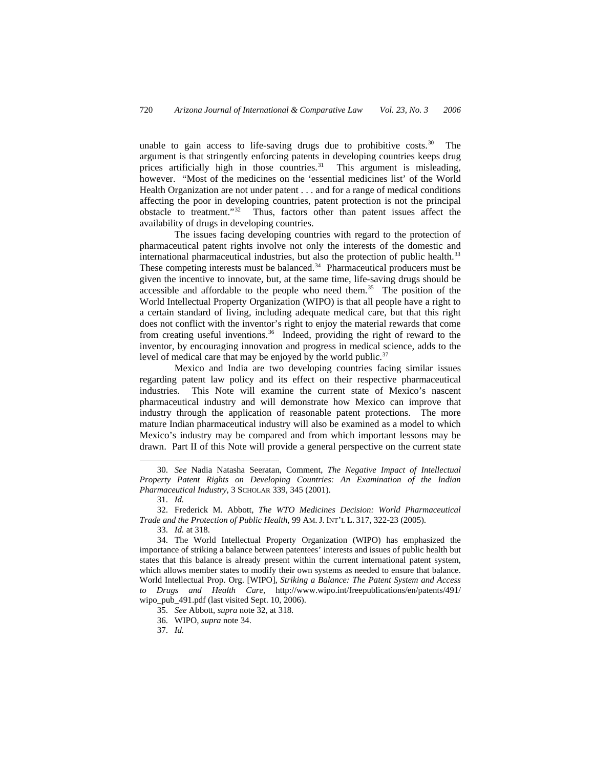unable to gain access to life-saving drugs due to prohibitive costs.<sup>[30](#page-3-0)</sup> The argument is that stringently enforcing patents in developing countries keeps drug prices artificially high in those countries.<sup>[31](#page-3-1)</sup> This argument is misleading, however. "Most of the medicines on the 'essential medicines list' of the World Health Organization are not under patent . . . and for a range of medical conditions affecting the poor in developing countries, patent protection is not the principal obstacle to treatment."[32](#page-3-2) Thus, factors other than patent issues affect the availability of drugs in developing countries.

 The issues facing developing countries with regard to the protection of pharmaceutical patent rights involve not only the interests of the domestic and international pharmaceutical industries, but also the protection of public health.<sup>[33](#page-3-3)</sup> These competing interests must be balanced.<sup>[34](#page-3-4)</sup> Pharmaceutical producers must be given the incentive to innovate, but, at the same time, life-saving drugs should be accessible and affordable to the people who need them.<sup>[35](#page-3-5)</sup> The position of the World Intellectual Property Organization (WIPO) is that all people have a right to a certain standard of living, including adequate medical care, but that this right does not conflict with the inventor's right to enjoy the material rewards that come from creating useful inventions.<sup>[36](#page-3-6)</sup> Indeed, providing the right of reward to the inventor, by encouraging innovation and progress in medical science, adds to the level of medical care that may be enjoyed by the world public.<sup>[37](#page-3-7)</sup>

 Mexico and India are two developing countries facing similar issues regarding patent law policy and its effect on their respective pharmaceutical industries. This Note will examine the current state of Mexico's nascent pharmaceutical industry and will demonstrate how Mexico can improve that industry through the application of reasonable patent protections. The more mature Indian pharmaceutical industry will also be examined as a model to which Mexico's industry may be compared and from which important lessons may be drawn. Part II of this Note will provide a general perspective on the current state

 $\overline{a}$ 

33. *Id.* at 318.

<span id="page-3-0"></span><sup>30.</sup> *See* Nadia Natasha Seeratan, Comment, *The Negative Impact of Intellectual Property Patent Rights on Developing Countries: An Examination of the Indian Pharmaceutical Industry*, 3 SCHOLAR 339, 345 (2001).

<sup>31.</sup> *Id.*

<span id="page-3-2"></span><span id="page-3-1"></span><sup>32.</sup> Frederick M. Abbott, *The WTO Medicines Decision: World Pharmaceutical Trade and the Protection of Public Health*, 99 AM. J. INT'L L. 317, 322-23 (2005).

<span id="page-3-5"></span><span id="page-3-4"></span><span id="page-3-3"></span><sup>34.</sup> The World Intellectual Property Organization (WIPO) has emphasized the importance of striking a balance between patentees' interests and issues of public health but states that this balance is already present within the current international patent system, which allows member states to modify their own systems as needed to ensure that balance. World Intellectual Prop. Org. [WIPO], *Striking a Balance: The Patent System and Access to Drugs and Health Care*, http://www.wipo.int/freepublications/en/patents/491/ wipo\_pub\_491.pdf (last visited Sept. 10, 2006).

<sup>35.</sup> *See* Abbott, *supra* note 32, at 318.

<span id="page-3-6"></span><sup>36.</sup> WIPO, *supra* note 34.

<span id="page-3-7"></span><sup>37.</sup> *Id.*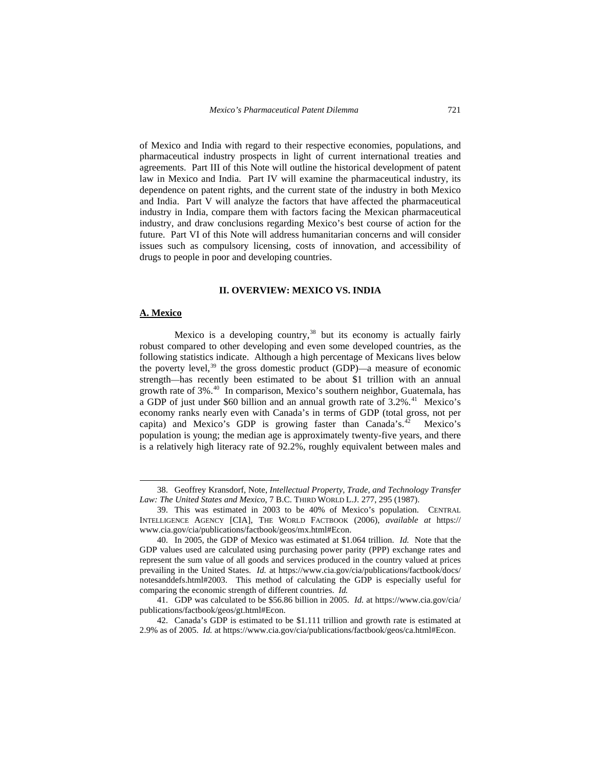of Mexico and India with regard to their respective economies, populations, and pharmaceutical industry prospects in light of current international treaties and agreements. Part III of this Note will outline the historical development of patent law in Mexico and India. Part IV will examine the pharmaceutical industry, its dependence on patent rights, and the current state of the industry in both Mexico and India. Part V will analyze the factors that have affected the pharmaceutical industry in India, compare them with factors facing the Mexican pharmaceutical industry, and draw conclusions regarding Mexico's best course of action for the future. Part VI of this Note will address humanitarian concerns and will consider issues such as compulsory licensing, costs of innovation, and accessibility of drugs to people in poor and developing countries.

### **II. OVERVIEW: MEXICO VS. INDIA**

## **A. Mexico**

 $\overline{a}$ 

Mexico is a developing country, $38$  but its economy is actually fairly robust compared to other developing and even some developed countries, as the following statistics indicate. Although a high percentage of Mexicans lives below the poverty level,<sup>[39](#page-4-1)</sup> the gross domestic product (GDP)—a measure of economic strength—has recently been estimated to be about \$1 trillion with an annual growth rate of 3%.[40](#page-4-2) In comparison, Mexico's southern neighbor, Guatemala, has a GDP of just under \$60 billion and an annual growth rate of  $3.2\%$ .<sup>[41](#page-4-3)</sup> Mexico's economy ranks nearly even with Canada's in terms of GDP (total gross, not per capita) and Mexico's GDP is growing faster than Canada's. $42$  Mexico's population is young; the median age is approximately twenty-five years, and there is a relatively high literacy rate of 92.2%, roughly equivalent between males and

<span id="page-4-0"></span><sup>38.</sup> Geoffrey Kransdorf, Note, *Intellectual Property, Trade, and Technology Transfer Law: The United States and Mexico*, 7 B.C. THIRD WORLD L.J. 277, 295 (1987).

<span id="page-4-1"></span><sup>39.</sup> This was estimated in 2003 to be 40% of Mexico's population. CENTRAL INTELLIGENCE AGENCY [CIA], THE WORLD FACTBOOK (2006), *available at* https:// www.cia.gov/cia/publications/factbook/geos/mx.html#Econ.

<span id="page-4-2"></span><sup>40.</sup> In 2005, the GDP of Mexico was estimated at \$1.064 trillion. *Id.* Note that the GDP values used are calculated using purchasing power parity (PPP) exchange rates and represent the sum value of all goods and services produced in the country valued at prices prevailing in the United States. *Id.* at https://www.cia.gov/cia/publications/factbook/docs/ notesanddefs.html#2003. This method of calculating the GDP is especially useful for comparing the economic strength of different countries. *Id.*

<span id="page-4-3"></span><sup>41.</sup> GDP was calculated to be \$56.86 billion in 2005. *Id.* at https://www.cia.gov/cia/ publications/factbook/geos/gt.html#Econ.

<span id="page-4-4"></span><sup>42.</sup> Canada's GDP is estimated to be \$1.111 trillion and growth rate is estimated at 2.9% as of 2005. *Id.* at https://www.cia.gov/cia/publications/factbook/geos/ca.html#Econ.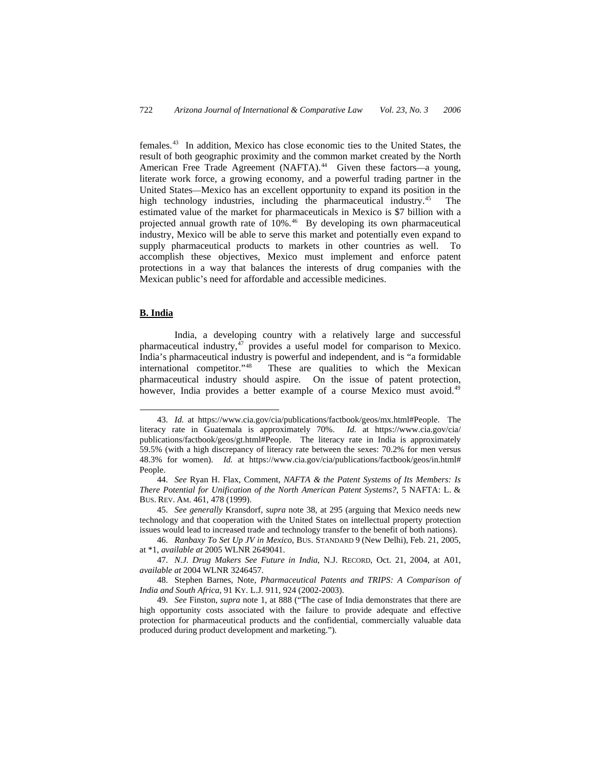females.[43](#page-5-0) In addition, Mexico has close economic ties to the United States, the result of both geographic proximity and the common market created by the North American Free Trade Agreement (NAFTA).<sup>[44](#page-5-1)</sup> Given these factors—a young, literate work force, a growing economy, and a powerful trading partner in the United States—Mexico has an excellent opportunity to expand its position in the high technology industries, including the pharmaceutical industry.<sup>45</sup> The estimated value of the market for pharmaceuticals in Mexico is \$7 billion with a projected annual growth rate of 10%.<sup>[46](#page-5-3)</sup> By developing its own pharmaceutical industry, Mexico will be able to serve this market and potentially even expand to supply pharmaceutical products to markets in other countries as well. To accomplish these objectives, Mexico must implement and enforce patent protections in a way that balances the interests of drug companies with the Mexican public's need for affordable and accessible medicines.

## **B. India**

-

 India, a developing country with a relatively large and successful pharmaceutical industry,<sup>[47](#page-5-4)</sup> provides a useful model for comparison to Mexico. India's pharmaceutical industry is powerful and independent, and is "a formidable international competitor."[48](#page-5-5) These are qualities to which the Mexican pharmaceutical industry should aspire. On the issue of patent protection, however, India provides a better example of a course Mexico must avoid.<sup>[49](#page-5-6)</sup>

<span id="page-5-0"></span><sup>43.</sup> *Id.* at https://www.cia.gov/cia/publications/factbook/geos/mx.html#People. The literacy rate in Guatemala is approximately 70%. *Id.* at https://www.cia.gov/cia/ publications/factbook/geos/gt.html#People. The literacy rate in India is approximately 59.5% (with a high discrepancy of literacy rate between the sexes: 70.2% for men versus 48.3% for women). *Id.* at https://www.cia.gov/cia/publications/factbook/geos/in.html# People.

<span id="page-5-1"></span><sup>44.</sup> *See* Ryan H. Flax, Comment, *NAFTA & the Patent Systems of Its Members: Is There Potential for Unification of the North American Patent Systems?*, 5 NAFTA: L. & BUS. REV. AM. 461, 478 (1999).

<span id="page-5-2"></span><sup>45.</sup> *See generally* Kransdorf, *supra* note 38, at 295 (arguing that Mexico needs new technology and that cooperation with the United States on intellectual property protection issues would lead to increased trade and technology transfer to the benefit of both nations).

<span id="page-5-3"></span><sup>46.</sup> *Ranbaxy To Set Up JV in Mexico*, BUS. STANDARD 9 (New Delhi), Feb. 21, 2005, at \*1, *available at* 2005 WLNR 2649041.

<span id="page-5-4"></span><sup>47.</sup> *N.J. Drug Makers See Future in India*, N.J. RECORD, Oct. 21, 2004, at A01, *available at* 2004 WLNR 3246457.

<span id="page-5-5"></span><sup>48.</sup> Stephen Barnes, Note, *Pharmaceutical Patents and TRIPS: A Comparison of India and South Africa*, 91 KY. L.J. 911, 924 (2002-2003).

<span id="page-5-6"></span><sup>49.</sup> *See* Finston, *supra* note 1, at 888 ("The case of India demonstrates that there are high opportunity costs associated with the failure to provide adequate and effective protection for pharmaceutical products and the confidential, commercially valuable data produced during product development and marketing.").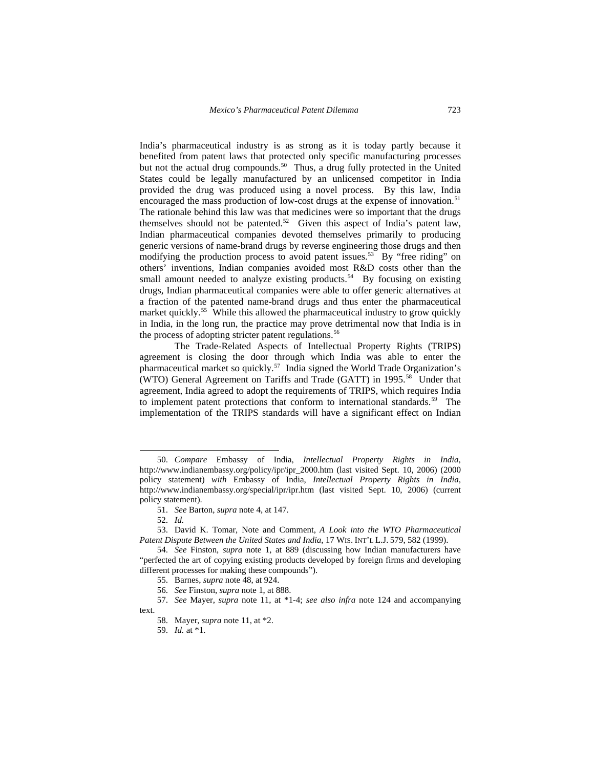India's pharmaceutical industry is as strong as it is today partly because it benefited from patent laws that protected only specific manufacturing processes but not the actual drug compounds.<sup>[50](#page-6-0)</sup> Thus, a drug fully protected in the United States could be legally manufactured by an unlicensed competitor in India provided the drug was produced using a novel process. By this law, India encouraged the mass production of low-cost drugs at the expense of innovation.<sup>[51](#page-6-1)</sup> The rationale behind this law was that medicines were so important that the drugs themselves should not be patented.<sup>[52](#page-6-2)</sup> Given this aspect of India's patent law, Indian pharmaceutical companies devoted themselves primarily to producing generic versions of name-brand drugs by reverse engineering those drugs and then modifying the production process to avoid patent issues.<sup>53</sup> By "free riding" on others' inventions, Indian companies avoided most R&D costs other than the small amount needed to analyze existing products.<sup>54</sup> By focusing on existing drugs, Indian pharmaceutical companies were able to offer generic alternatives at a fraction of the patented name-brand drugs and thus enter the pharmaceutical market quickly.<sup>[55](#page-6-5)</sup> While this allowed the pharmaceutical industry to grow quickly in India, in the long run, the practice may prove detrimental now that India is in the process of adopting stricter patent regulations.<sup>[56](#page-6-6)</sup>

 The Trade-Related Aspects of Intellectual Property Rights (TRIPS) agreement is closing the door through which India was able to enter the pharmaceutical market so quickly.[57](#page-6-7) India signed the World Trade Organization's (WTO) General Agreement on Tariffs and Trade (GATT) in 1995.<sup>[58](#page-6-8)</sup> Under that agreement, India agreed to adopt the requirements of TRIPS, which requires India to implement patent protections that conform to international standards.<sup>[59](#page-6-9)</sup> The implementation of the TRIPS standards will have a significant effect on Indian

-

<span id="page-6-0"></span><sup>50.</sup> *Compare* Embassy of India, *Intellectual Property Rights in India*, http://www.indianembassy.org/policy/ipr/ipr\_2000.htm (last visited Sept. 10, 2006) (2000 policy statement) *with* Embassy of India, *Intellectual Property Rights in India*, http://www.indianembassy.org/special/ipr/ipr.htm (last visited Sept. 10, 2006) (current policy statement).

<sup>51.</sup> *See* Barton, *supra* note 4, at 147.

<sup>52.</sup> *Id.*

<span id="page-6-3"></span><span id="page-6-2"></span><span id="page-6-1"></span><sup>53.</sup> David K. Tomar, Note and Comment, *A Look into the WTO Pharmaceutical Patent Dispute Between the United States and India*, 17 WIS. INT'L L.J. 579, 582 (1999).

<span id="page-6-4"></span><sup>54.</sup> *See* Finston, *supra* note 1, at 889 (discussing how Indian manufacturers have "perfected the art of copying existing products developed by foreign firms and developing different processes for making these compounds").

<sup>55.</sup> Barnes, *supra* note 48, at 924.

<sup>56.</sup> *See* Finston, *supra* note 1, at 888.

<span id="page-6-9"></span><span id="page-6-8"></span><span id="page-6-7"></span><span id="page-6-6"></span><span id="page-6-5"></span><sup>57.</sup> *See* Mayer, *supra* note 11, at \*1-4; *see also infra* note 124 and accompanying text.

<sup>58.</sup> Mayer, *supra* note 11, at \*2.

<sup>59.</sup> *Id.* at \*1.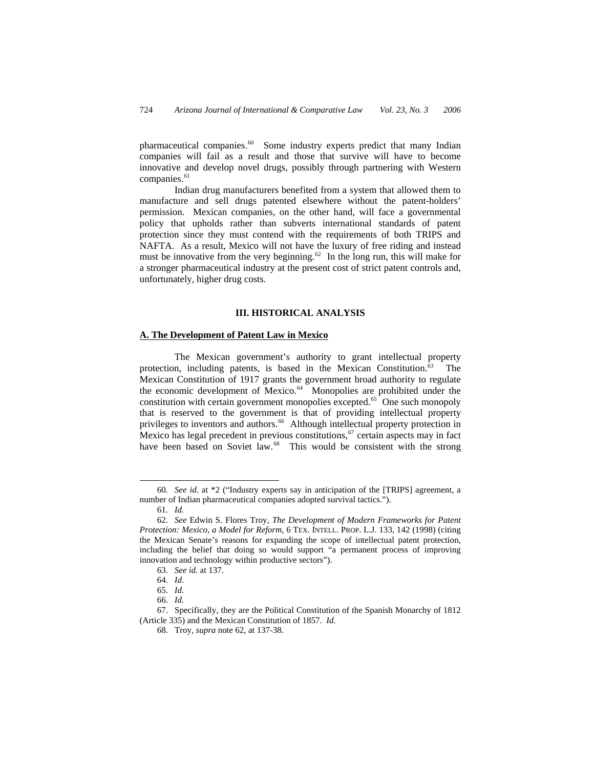pharmaceutical companies.[60](#page-7-0) Some industry experts predict that many Indian companies will fail as a result and those that survive will have to become innovative and develop novel drugs, possibly through partnering with Western companies.<sup>[61](#page-7-1)</sup>

 Indian drug manufacturers benefited from a system that allowed them to manufacture and sell drugs patented elsewhere without the patent-holders' permission. Mexican companies, on the other hand, will face a governmental policy that upholds rather than subverts international standards of patent protection since they must contend with the requirements of both TRIPS and NAFTA. As a result, Mexico will not have the luxury of free riding and instead must be innovative from the very beginning.<sup>[62](#page-7-2)</sup> In the long run, this will make for a stronger pharmaceutical industry at the present cost of strict patent controls and, unfortunately, higher drug costs.

### **III. HISTORICAL ANALYSIS**

## **A. The Development of Patent Law in Mexico**

 The Mexican government's authority to grant intellectual property protection, including patents, is based in the Mexican Constitution.<sup>[63](#page-7-3)</sup> The Mexican Constitution of 1917 grants the government broad authority to regulate the economic development of Mexico.<sup>[64](#page-7-4)</sup> Monopolies are prohibited under the constitution with certain government monopolies excepted.<sup>65</sup> One such monopoly that is reserved to the government is that of providing intellectual property privileges to inventors and authors.<sup>[66](#page-7-6)</sup> Although intellectual property protection in Mexico has legal precedent in previous constitutions,  $67$  certain aspects may in fact have been based on Soviet law.<sup>[68](#page-7-8)</sup> This would be consistent with the strong

<span id="page-7-0"></span><sup>60</sup>*. See id*. at \*2 ("Industry experts say in anticipation of the [TRIPS] agreement, a number of Indian pharmaceutical companies adopted survival tactics.").

<sup>61</sup>*. Id.*

<span id="page-7-2"></span><span id="page-7-1"></span><sup>62.</sup> *See* Edwin S. Flores Troy, *The Development of Modern Frameworks for Patent Protection: Mexico, a Model for Reform*, 6 TEX. INTELL. PROP. L.J. 133, 142 (1998) (citing the Mexican Senate's reasons for expanding the scope of intellectual patent protection, including the belief that doing so would support "a permanent process of improving innovation and technology within productive sectors").

<sup>63.</sup> *See id.* at 137.

<sup>64.</sup> *Id*.

<sup>65.</sup> *Id.*

<sup>66.</sup> *Id.*

<span id="page-7-8"></span><span id="page-7-7"></span><span id="page-7-6"></span><span id="page-7-5"></span><span id="page-7-4"></span><span id="page-7-3"></span><sup>67.</sup> Specifically, they are the Political Constitution of the Spanish Monarchy of 1812 (Article 335) and the Mexican Constitution of 1857. *Id.* 

<sup>68.</sup> Troy, *supra* note 62, at 137-38.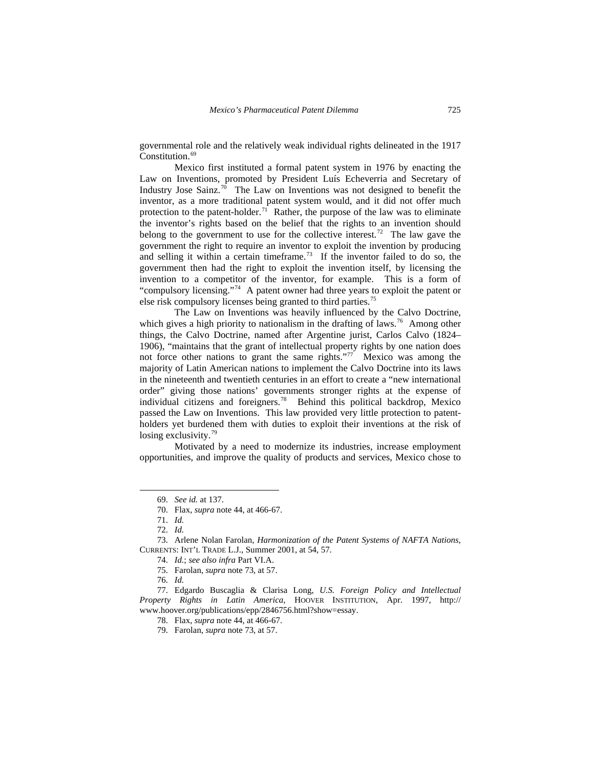governmental role and the relatively weak individual rights delineated in the 1917 Constitution.<sup>[69](#page-8-0)</sup>

 Mexico first instituted a formal patent system in 1976 by enacting the Law on Inventions, promoted by President Luís Echeverria and Secretary of Industry Jose Sainz.<sup>[70](#page-8-1)</sup> The Law on Inventions was not designed to benefit the inventor, as a more traditional patent system would, and it did not offer much protection to the patent-holder.<sup>[71](#page-8-2)</sup> Rather, the purpose of the law was to eliminate the inventor's rights based on the belief that the rights to an invention should belong to the government to use for the collective interest.<sup>[72](#page-8-3)</sup> The law gave the government the right to require an inventor to exploit the invention by producing and selling it within a certain timeframe.<sup>[73](#page-8-4)</sup> If the inventor failed to do so, the government then had the right to exploit the invention itself, by licensing the invention to a competitor of the inventor, for example. This is a form of "compulsory licensing."<sup>[74](#page-8-5)</sup> A patent owner had three years to exploit the patent or else risk compulsory licenses being granted to third parties.[75](#page-8-6)

 The Law on Inventions was heavily influenced by the Calvo Doctrine, which gives a high priority to nationalism in the drafting of laws.<sup>[76](#page-8-7)</sup> Among other things, the Calvo Doctrine, named after Argentine jurist, Carlos Calvo (1824– 1906), "maintains that the grant of intellectual property rights by one nation does not force other nations to grant the same rights."<sup>[77](#page-8-8)</sup> Mexico was among the majority of Latin American nations to implement the Calvo Doctrine into its laws in the nineteenth and twentieth centuries in an effort to create a "new international order" giving those nations' governments stronger rights at the expense of individual citizens and foreigners.<sup>78</sup> Behind this political backdrop, Mexico passed the Law on Inventions. This law provided very little protection to patentholders yet burdened them with duties to exploit their inventions at the risk of losing exclusivity.<sup>[79](#page-8-10)</sup>

 Motivated by a need to modernize its industries, increase employment opportunities, and improve the quality of products and services, Mexico chose to

<sup>69.</sup> *See id.* at 137.

<sup>70.</sup> Flax, *supra* note 44, at 466-67.

<sup>71.</sup> *Id.* 

<sup>72.</sup> *Id.*

<span id="page-8-5"></span><span id="page-8-4"></span><span id="page-8-3"></span><span id="page-8-2"></span><span id="page-8-1"></span><span id="page-8-0"></span><sup>73.</sup> Arlene Nolan Farolan, *Harmonization of the Patent Systems of NAFTA Nations*, CURRENTS: INT'L TRADE L.J., Summer 2001, at 54, 57.

<sup>74.</sup> *Id.*; *see also infra* Part VI.A.

<sup>75.</sup> Farolan, *supra* note 73, at 57.

<sup>76.</sup> *Id.*

<span id="page-8-10"></span><span id="page-8-9"></span><span id="page-8-8"></span><span id="page-8-7"></span><span id="page-8-6"></span><sup>77.</sup> Edgardo Buscaglia & Clarisa Long, *U.S. Foreign Policy and Intellectual Property Rights in Latin America*, HOOVER INSTITUTION, Apr. 1997, http:// www.hoover.org/publications/epp/2846756.html?show=essay.

<sup>78.</sup> Flax, *supra* note 44, at 466-67.

<sup>79.</sup> Farolan, *supra* note 73, at 57.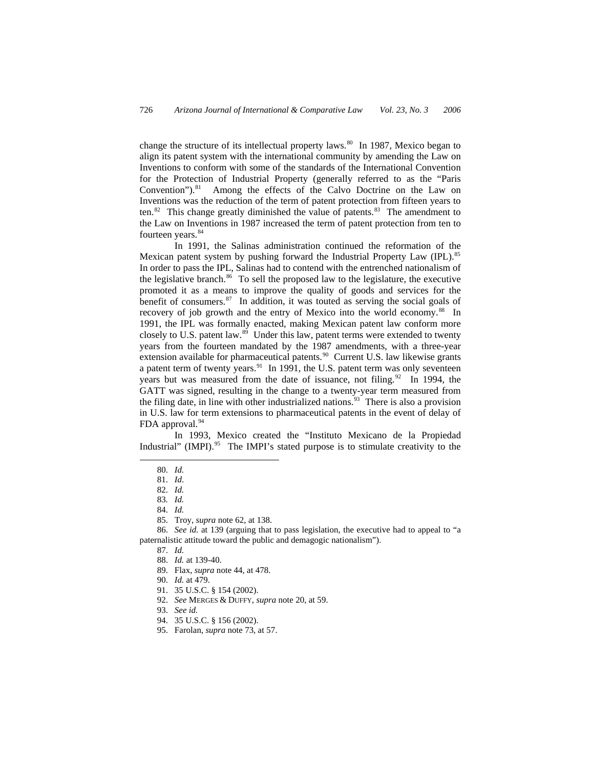change the structure of its intellectual property laws. $80$  In 1987, Mexico began to align its patent system with the international community by amending the Law on Inventions to conform with some of the standards of the International Convention for the Protection of Industrial Property (generally referred to as the "Paris Convention").<sup>[81](#page-9-1)</sup> Among the effects of the Calvo Doctrine on the Law on Inventions was the reduction of the term of patent protection from fifteen years to ten.<sup>[82](#page-9-2)</sup> This change greatly diminished the value of patents.<sup>[83](#page-9-3)</sup> The amendment to the Law on Inventions in 1987 increased the term of patent protection from ten to fourteen years.<sup>[84](#page-9-4)</sup>

 In 1991, the Salinas administration continued the reformation of the Mexican patent system by pushing forward the Industrial Property Law (IPL).<sup>[85](#page-9-5)</sup> In order to pass the IPL, Salinas had to contend with the entrenched nationalism of the legislative branch. $86$  To sell the proposed law to the legislature, the executive promoted it as a means to improve the quality of goods and services for the benefit of consumers. $87$  In addition, it was touted as serving the social goals of recovery of job growth and the entry of Mexico into the world economy.<sup>[88](#page-9-8)</sup> In 1991, the IPL was formally enacted, making Mexican patent law conform more closely to U.S. patent law. $89$  Under this law, patent terms were extended to twenty years from the fourteen mandated by the 1987 amendments, with a three-year extension available for pharmaceutical patents.<sup>[90](#page-9-10)</sup> Current U.S. law likewise grants a patent term of twenty years.<sup>[91](#page-9-11)</sup> In 1991, the U.S. patent term was only seventeen years but was measured from the date of issuance, not filing. $92$  In 1994, the GATT was signed, resulting in the change to a twenty-year term measured from the filing date, in line with other industrialized nations.<sup>[93](#page-9-13)</sup> There is also a provision in U.S. law for term extensions to pharmaceutical patents in the event of delay of FDA approval.<sup>[94](#page-9-14)</sup>

 In 1993, Mexico created the "Instituto Mexicano de la Propiedad Industrial" (IMPI).<sup>[95](#page-9-15)</sup> The IMPI's stated purpose is to stimulate creativity to the

<span id="page-9-2"></span><span id="page-9-1"></span><span id="page-9-0"></span>-

84. *Id.*

<span id="page-9-12"></span><span id="page-9-11"></span><span id="page-9-10"></span><span id="page-9-9"></span><span id="page-9-8"></span><span id="page-9-7"></span><span id="page-9-6"></span><span id="page-9-5"></span><span id="page-9-4"></span><span id="page-9-3"></span>86. *See id.* at 139 (arguing that to pass legislation, the executive had to appeal to "a paternalistic attitude toward the public and demagogic nationalism").

87. *Id.*

- 90. *Id.* at 479.
- 91. 35 U.S.C. § 154 (2002).
- 92. *See* MERGES & DUFFY, *supra* note 20, at 59.
- <span id="page-9-13"></span>93. *See id.*
- <span id="page-9-14"></span>94. 35 U.S.C. § 156 (2002).
- <span id="page-9-15"></span>95. Farolan, *supra* note 73, at 57.

<sup>80.</sup> *Id.*

<sup>81.</sup> *Id*.

<sup>82.</sup> *Id.* 

<sup>83</sup>*. Id.*

<sup>85.</sup> Troy, *supra* note 62, at 138.

<sup>88.</sup> *Id.* at 139-40.

<sup>89.</sup> Flax, *supra* note 44, at 478.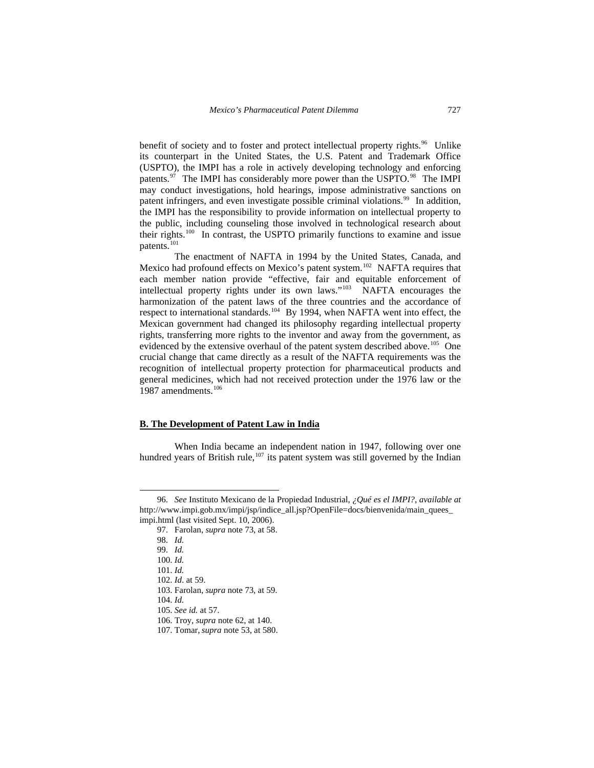benefit of society and to foster and protect intellectual property rights.<sup>[96](#page-10-0)</sup> Unlike its counterpart in the United States, the U.S. Patent and Trademark Office (USPTO), the IMPI has a role in actively developing technology and enforcing patents.<sup>[97](#page-10-1)</sup> The IMPI has considerably more power than the USPTO.<sup>[98](#page-10-2)</sup> The IMPI may conduct investigations, hold hearings, impose administrative sanctions on patent infringers, and even investigate possible criminal violations.<sup>[99](#page-10-3)</sup> In addition, the IMPI has the responsibility to provide information on intellectual property to the public, including counseling those involved in technological research about their rights.[100](#page-10-4) In contrast, the USPTO primarily functions to examine and issue patents.<sup>[101](#page-10-5)</sup>

 The enactment of NAFTA in 1994 by the United States, Canada, and Mexico had profound effects on Mexico's patent system.<sup>[102](#page-10-6)</sup> NAFTA requires that each member nation provide "effective, fair and equitable enforcement of intellectual property rights under its own laws."[103](#page-10-7) NAFTA encourages the harmonization of the patent laws of the three countries and the accordance of respect to international standards.[104](#page-10-8) By 1994, when NAFTA went into effect, the Mexican government had changed its philosophy regarding intellectual property rights, transferring more rights to the inventor and away from the government, as evidenced by the extensive overhaul of the patent system described above.<sup>[105](#page-10-9)</sup> One crucial change that came directly as a result of the NAFTA requirements was the recognition of intellectual property protection for pharmaceutical products and general medicines, which had not received protection under the 1976 law or the 1987 amendments.<sup>[106](#page-10-10)</sup>

#### **B. The Development of Patent Law in India**

 When India became an independent nation in 1947, following over one hundred years of British rule, $107$  its patent system was still governed by the Indian

<span id="page-10-5"></span><span id="page-10-4"></span><span id="page-10-3"></span><span id="page-10-2"></span><span id="page-10-1"></span><span id="page-10-0"></span><sup>96.</sup> *See* Instituto Mexicano de la Propiedad Industrial, *¿Qué es el IMPI?*, *available at* http://www.impi.gob.mx/impi/jsp/indice\_all.jsp?OpenFile=docs/bienvenida/main\_quees\_ impi.html (last visited Sept. 10, 2006).

<sup>97.</sup> Farolan, *supra* note 73, at 58.

<sup>98.</sup> *Id.*

<sup>99.</sup> *Id.* 

<sup>100.</sup> *Id.* 

<sup>101.</sup> *Id.* 

<span id="page-10-6"></span><sup>102.</sup> *Id*. at 59.

<span id="page-10-7"></span><sup>103.</sup> Farolan, *supra* note 73, at 59.

<span id="page-10-8"></span><sup>104.</sup> *Id.*

<span id="page-10-10"></span><span id="page-10-9"></span><sup>105.</sup> *See id.* at 57.

<sup>106.</sup> Troy, *supra* note 62, at 140.

<span id="page-10-11"></span><sup>107.</sup> Tomar,*supra* note 53, at 580.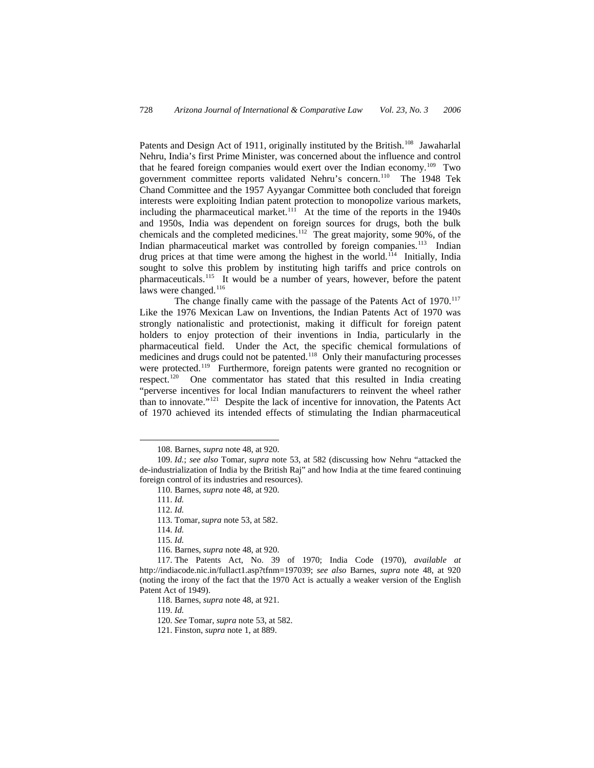Patents and Design Act of 1911, originally instituted by the British.<sup>[108](#page-11-0)</sup> Jawaharlal Nehru, India's first Prime Minister, was concerned about the influence and control that he feared foreign companies would exert over the Indian economy.<sup>[109](#page-11-1)</sup> Two government committee reports validated Nehru's concern.[110](#page-11-2) The 1948 Tek Chand Committee and the 1957 Ayyangar Committee both concluded that foreign interests were exploiting Indian patent protection to monopolize various markets, including the pharmaceutical market.<sup>[111](#page-11-3)</sup> At the time of the reports in the  $1940s$ and 1950s, India was dependent on foreign sources for drugs, both the bulk chemicals and the completed medicines.<sup>[112](#page-11-4)</sup> The great majority, some 90%, of the Indian pharmaceutical market was controlled by foreign companies.<sup>[113](#page-11-5)</sup> Indian drug prices at that time were among the highest in the world.<sup>[114](#page-11-6)</sup> Initially, India sought to solve this problem by instituting high tariffs and price controls on pharmaceuticals.[115](#page-11-7) It would be a number of years, however, before the patent laws were changed.<sup>[116](#page-11-8)</sup>

The change finally came with the passage of the Patents Act of  $1970$ .<sup>[117](#page-11-9)</sup> Like the 1976 Mexican Law on Inventions, the Indian Patents Act of 1970 was strongly nationalistic and protectionist, making it difficult for foreign patent holders to enjoy protection of their inventions in India, particularly in the pharmaceutical field. Under the Act, the specific chemical formulations of medicines and drugs could not be patented.<sup>[118](#page-11-10)</sup> Only their manufacturing processes were protected.<sup>[119](#page-11-11)</sup> Furthermore, foreign patents were granted no recognition or respect.[120](#page-11-12) One commentator has stated that this resulted in India creating "perverse incentives for local Indian manufacturers to reinvent the wheel rather than to innovate."[121](#page-11-13) Despite the lack of incentive for innovation, the Patents Act of 1970 achieved its intended effects of stimulating the Indian pharmaceutical

 $\overline{a}$ 

116. Barnes, *supra* note 48, at 920.

<sup>108.</sup> Barnes, *supra* note 48, at 920.

<span id="page-11-4"></span><span id="page-11-3"></span><span id="page-11-2"></span><span id="page-11-1"></span><span id="page-11-0"></span><sup>109.</sup> *Id.*; *see also* Tomar, *supra* note 53, at 582 (discussing how Nehru "attacked the de-industrialization of India by the British Raj" and how India at the time feared continuing foreign control of its industries and resources).

<sup>110.</sup> Barnes, *supra* note 48, at 920.

<sup>111.</sup> *Id.* 

<sup>112.</sup> *Id.* 

<sup>113.</sup> Tomar,*supra* note 53, at 582.

<sup>114.</sup> *Id.*

<sup>115.</sup> *Id.*

<span id="page-11-13"></span><span id="page-11-12"></span><span id="page-11-11"></span><span id="page-11-10"></span><span id="page-11-9"></span><span id="page-11-8"></span><span id="page-11-7"></span><span id="page-11-6"></span><span id="page-11-5"></span><sup>117.</sup> The Patents Act, No. 39 of 1970; India Code (1970), *available at*  http://indiacode.nic.in/fullact1.asp?tfnm=197039; *see also* Barnes, *supra* note 48, at 920 (noting the irony of the fact that the 1970 Act is actually a weaker version of the English Patent Act of 1949).

<sup>118.</sup> Barnes, *supra* note 48, at 921.

<sup>119.</sup> *Id.* 

<sup>120.</sup> *See* Tomar, *supra* note 53, at 582.

<sup>121.</sup> Finston, *supra* note 1, at 889.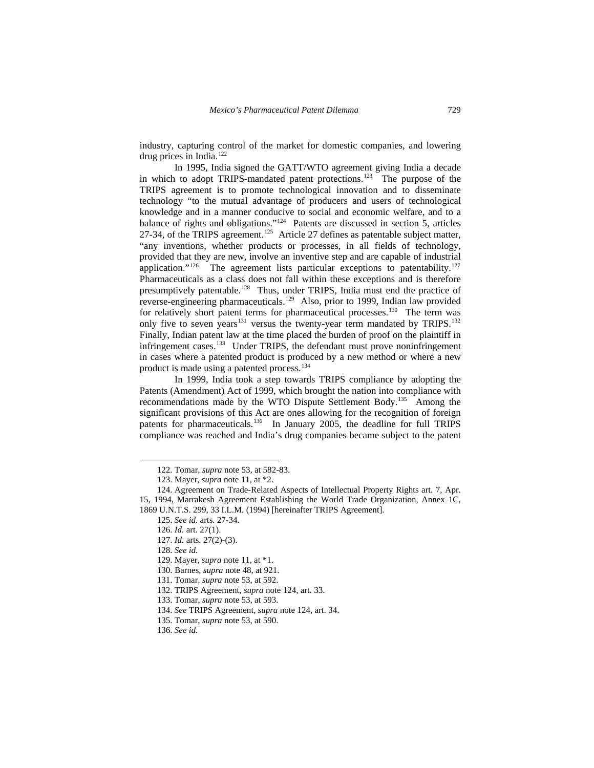industry, capturing control of the market for domestic companies, and lowering drug prices in India.<sup>[122](#page-12-0)</sup>

 In 1995, India signed the GATT/WTO agreement giving India a decade in which to adopt TRIPS-mandated patent protections.<sup>[123](#page-12-1)</sup> The purpose of the TRIPS agreement is to promote technological innovation and to disseminate technology "to the mutual advantage of producers and users of technological knowledge and in a manner conducive to social and economic welfare, and to a balance of rights and obligations."<sup>[124](#page-12-2)</sup> Patents are discussed in section 5, articles 27-34, of the TRIPS agreement.<sup>[125](#page-12-3)</sup> Article 27 defines as patentable subject matter, "any inventions, whether products or processes, in all fields of technology, provided that they are new, involve an inventive step and are capable of industrial application."<sup>[126](#page-12-4)</sup> The agreement lists particular exceptions to patentability.<sup>[127](#page-12-5)</sup> Pharmaceuticals as a class does not fall within these exceptions and is therefore presumptively patentable.<sup>[128](#page-12-6)</sup> Thus, under TRIPS, India must end the practice of reverse-engineering pharmaceuticals[.129](#page-12-7) Also, prior to 1999, Indian law provided for relatively short patent terms for pharmaceutical processes.<sup>[130](#page-12-8)</sup> The term was only five to seven years<sup>131</sup> versus the twenty-year term mandated by TRIPS.<sup>[132](#page-12-10)</sup> Finally, Indian patent law at the time placed the burden of proof on the plaintiff in infringement cases.<sup>[133](#page-12-11)</sup> Under TRIPS, the defendant must prove noninfringement in cases where a patented product is produced by a new method or where a new product is made using a patented process.<sup>[134](#page-12-12)</sup>

 In 1999, India took a step towards TRIPS compliance by adopting the Patents (Amendment) Act of 1999, which brought the nation into compliance with recommendations made by the WTO Dispute Settlement Body.[135](#page-12-13) Among the significant provisions of this Act are ones allowing for the recognition of foreign patents for pharmaceuticals.<sup>[136](#page-12-14)</sup> In January 2005, the deadline for full TRIPS compliance was reached and India's drug companies became subject to the patent

<span id="page-12-0"></span> $\overline{a}$ 

<span id="page-12-10"></span>132. TRIPS Agreement, *supra* note 124, art. 33.

<sup>122.</sup> Tomar, *supra* note 53, at 582-83.

<sup>123.</sup> Mayer, *supra* note 11, at \*2.

<span id="page-12-7"></span><span id="page-12-6"></span><span id="page-12-5"></span><span id="page-12-4"></span><span id="page-12-3"></span><span id="page-12-2"></span><span id="page-12-1"></span><sup>124.</sup> Agreement on Trade-Related Aspects of Intellectual Property Rights art. 7, Apr. 15, 1994, Marrakesh Agreement Establishing the World Trade Organization, Annex 1C, 1869 U.N.T.S. 299, 33 I.L.M. (1994) [hereinafter TRIPS Agreement].

<sup>125.</sup> *See id.* arts. 27-34.

<sup>126.</sup> *Id.* art. 27(1).

<sup>127.</sup> *Id.* arts. 27(2)-(3).

<sup>128.</sup> *See id.*

<sup>129.</sup> Mayer, *supra* note 11, at \*1.

<span id="page-12-9"></span><span id="page-12-8"></span><sup>130.</sup> Barnes, *supra* note 48, at 921.

<sup>131.</sup> Tomar, *supra* note 53, at 592.

<sup>133.</sup> Tomar, *supra* note 53, at 593.

<span id="page-12-13"></span><span id="page-12-12"></span><span id="page-12-11"></span><sup>134.</sup> *See* TRIPS Agreement, *supra* note 124, art. 34.

<sup>135.</sup> Tomar, *supra* note 53, at 590.

<span id="page-12-14"></span><sup>136.</sup> *See id.*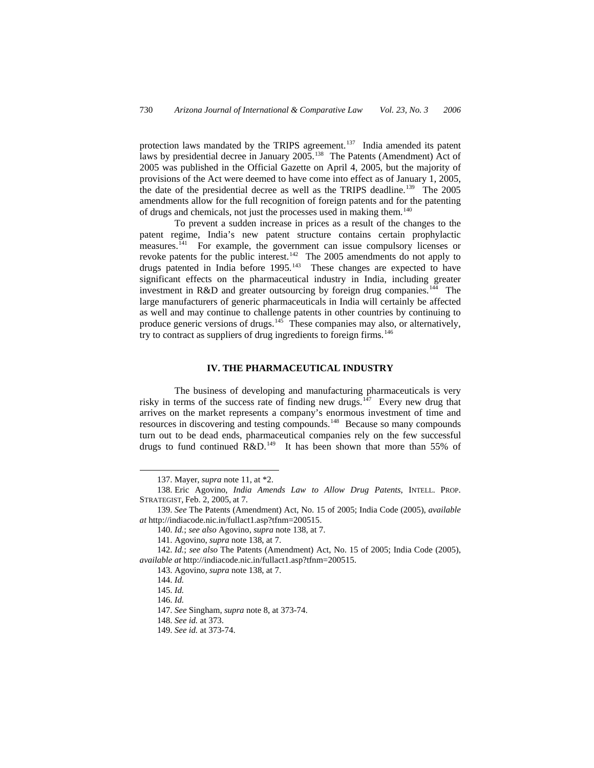protection laws mandated by the TRIPS agreement.<sup>[137](#page-13-0)</sup> India amended its patent laws by presidential decree in January 2005.<sup>[138](#page-13-1)</sup> The Patents (Amendment) Act of 2005 was published in the Official Gazette on April 4, 2005, but the majority of provisions of the Act were deemed to have come into effect as of January 1, 2005, the date of the presidential decree as well as the TRIPS deadline.<sup>[139](#page-13-2)</sup> The 2005 amendments allow for the full recognition of foreign patents and for the patenting of drugs and chemicals, not just the processes used in making them.[140](#page-13-3)

 To prevent a sudden increase in prices as a result of the changes to the patent regime, India's new patent structure contains certain prophylactic measures.<sup>[141](#page-13-4)</sup> For example, the government can issue compulsory licenses or revoke patents for the public interest.<sup>142</sup> The 2005 amendments do not apply to drugs patented in India before  $1995$ .<sup>[143](#page-13-6)</sup> These changes are expected to have significant effects on the pharmaceutical industry in India, including greater investment in R&D and greater outsourcing by foreign drug companies.<sup>[144](#page-13-7)</sup> The large manufacturers of generic pharmaceuticals in India will certainly be affected as well and may continue to challenge patents in other countries by continuing to produce generic versions of drugs.<sup>[145](#page-13-8)</sup> These companies may also, or alternatively, try to contract as suppliers of drug ingredients to foreign firms.<sup>[146](#page-13-9)</sup>

## **IV. THE PHARMACEUTICAL INDUSTRY**

 The business of developing and manufacturing pharmaceuticals is very risky in terms of the success rate of finding new drugs.<sup>[147](#page-13-10)</sup> Every new drug that arrives on the market represents a company's enormous investment of time and resources in discovering and testing compounds.<sup>[148](#page-13-11)</sup> Because so many compounds turn out to be dead ends, pharmaceutical companies rely on the few successful drugs to fund continued  $R&D.<sup>149</sup>$  $R&D.<sup>149</sup>$  $R&D.<sup>149</sup>$  It has been shown that more than 55% of

143. Agovino, *supra* note 138, at 7.

 $\overline{a}$ 

147. *See* Singham, *supra* note 8, at 373-74.

<sup>137.</sup> Mayer, *supra* note 11, at \*2.

<span id="page-13-1"></span><span id="page-13-0"></span><sup>138.</sup> Eric Agovino, *India Amends Law to Allow Drug Patents*, INTELL. PROP. STRATEGIST, Feb. 2, 2005, at 7.

<span id="page-13-3"></span><span id="page-13-2"></span><sup>139.</sup> *See* The Patents (Amendment) Act, No. 15 of 2005; India Code (2005), *available at* http://indiacode.nic.in/fullact1.asp?tfnm=200515.

<sup>140.</sup> *Id.*; *see also* Agovino, *supra* note 138, at 7.

<sup>141.</sup> Agovino, *supra* note 138, at 7.

<span id="page-13-11"></span><span id="page-13-10"></span><span id="page-13-9"></span><span id="page-13-8"></span><span id="page-13-7"></span><span id="page-13-6"></span><span id="page-13-5"></span><span id="page-13-4"></span><sup>142.</sup> *Id.*; *see also* The Patents (Amendment) Act, No. 15 of 2005; India Code (2005), *available at* http://indiacode.nic.in/fullact1.asp?tfnm=200515.

<sup>144.</sup> *Id.* 

<sup>145.</sup> *Id.*

<sup>146.</sup> *Id.*

<sup>148.</sup> *See id.* at 373.

<span id="page-13-12"></span><sup>149.</sup> *See id.* at 373-74.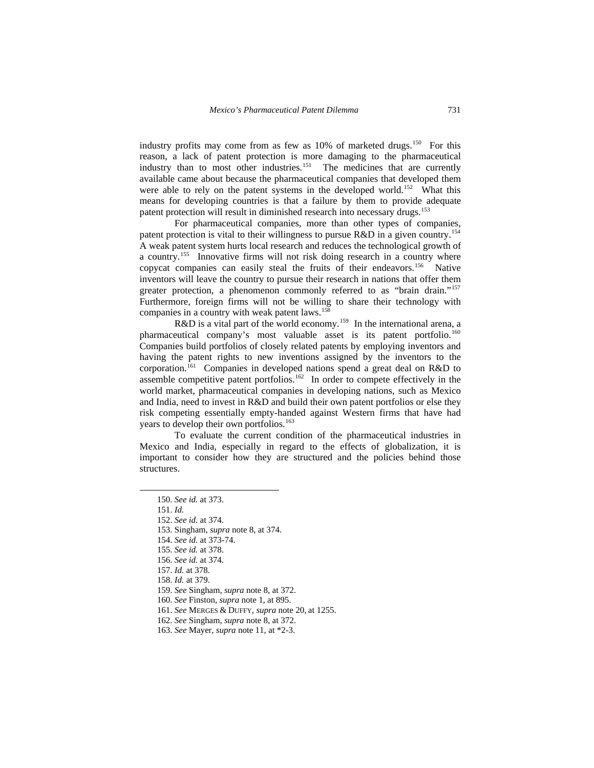industry profits may come from as few as 10% of marketed drugs.<sup>[150](#page-14-0)</sup> For this reason, a lack of patent protection is more damaging to the pharmaceutical industry than to most other industries.<sup>[151](#page-14-1)</sup> The medicines that are currently available came about because the pharmaceutical companies that developed them were able to rely on the patent systems in the developed world.<sup>[152](#page-14-2)</sup> What this means for developing countries is that a failure by them to provide adequate patent protection will result in diminished research into necessary drugs.<sup>[153](#page-14-3)</sup>

 For pharmaceutical companies, more than other types of companies, patent protection is vital to their willingness to pursue R&D in a given country.[154](#page-14-4) A weak patent system hurts local research and reduces the technological growth of a country.<sup>[155](#page-14-5)</sup> Innovative firms will not risk doing research in a country where copycat companies can easily steal the fruits of their endeavors.<sup>[156](#page-14-6)</sup> Native inventors will leave the country to pursue their research in nations that offer them greater protection, a phenomenon commonly referred to as "brain drain."<sup>[157](#page-14-7)</sup> Furthermore, foreign firms will not be willing to share their technology with companies in a country with weak patent laws.<sup>[158](#page-14-8)</sup>

 $R&D$  is a vital part of the world economy.<sup>[159](#page-14-9)</sup> In the international arena, a pharmaceutical company's most valuable asset is its patent portfolio.<sup>[160](#page-14-10)</sup> Companies build portfolios of closely related patents by employing inventors and having the patent rights to new inventions assigned by the inventors to the corporation.[161](#page-14-11) Companies in developed nations spend a great deal on R&D to assemble competitive patent portfolios.<sup>162</sup> In order to compete effectively in the world market, pharmaceutical companies in developing nations, such as Mexico and India, need to invest in R&D and build their own patent portfolios or else they risk competing essentially empty-handed against Western firms that have had years to develop their own portfolios.<sup>163</sup>

<span id="page-14-0"></span> To evaluate the current condition of the pharmaceutical industries in Mexico and India, especially in regard to the effects of globalization, it is important to consider how they are structured and the policies behind those structures.

<sup>150.</sup> *See id.* at 373.

<span id="page-14-2"></span><span id="page-14-1"></span><sup>151.</sup> *Id.*

<sup>152.</sup> *See id.* at 374.

<span id="page-14-4"></span><span id="page-14-3"></span><sup>153.</sup> Singham, *supra* note 8, at 374.

<sup>154.</sup> *See id.* at 373-74.

<span id="page-14-5"></span><sup>155.</sup> *See id.* at 378.

<sup>156.</sup> *See id.* at 374.

<span id="page-14-7"></span><span id="page-14-6"></span><sup>157.</sup> *Id.* at 378.

<span id="page-14-8"></span><sup>158.</sup> *Id.* at 379.

<sup>159.</sup> *See* Singham, *supra* note 8, at 372.

<span id="page-14-11"></span><span id="page-14-10"></span><span id="page-14-9"></span><sup>160.</sup> *See* Finston, *supra* note 1, at 895.

<sup>161.</sup> *See* MERGES & DUFFY, *supra* note 20, at 1255.

<span id="page-14-13"></span><span id="page-14-12"></span><sup>162.</sup> *See* Singham, *supra* note 8, at 372.

<sup>163.</sup> *See* Mayer, *supra* note 11, at \*2-3.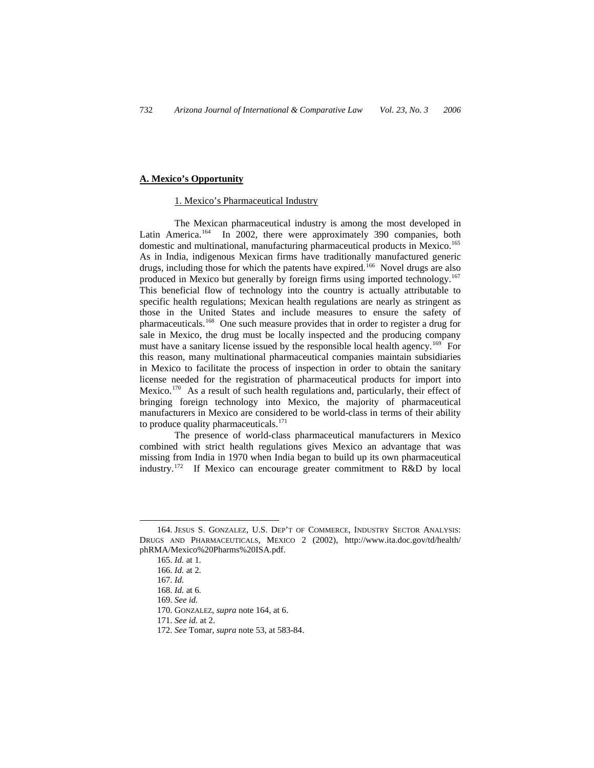## **A. Mexico's Opportunity**

#### 1. Mexico's Pharmaceutical Industry

 The Mexican pharmaceutical industry is among the most developed in Latin America.<sup>[164](#page-15-0)</sup> In 2002, there were approximately 390 companies, both domestic and multinational, manufacturing pharmaceutical products in Mexico.<sup>[165](#page-15-1)</sup> As in India, indigenous Mexican firms have traditionally manufactured generic drugs, including those for which the patents have expired.<sup>[166](#page-15-2)</sup> Novel drugs are also produced in Mexico but generally by foreign firms using imported technology.<sup>[167](#page-15-3)</sup> This beneficial flow of technology into the country is actually attributable to specific health regulations; Mexican health regulations are nearly as stringent as those in the United States and include measures to ensure the safety of pharmaceuticals.[168](#page-15-4) One such measure provides that in order to register a drug for sale in Mexico, the drug must be locally inspected and the producing company must have a sanitary license issued by the responsible local health agency.[169](#page-15-5) For this reason, many multinational pharmaceutical companies maintain subsidiaries in Mexico to facilitate the process of inspection in order to obtain the sanitary license needed for the registration of pharmaceutical products for import into Mexico.<sup>[170](#page-15-6)</sup> As a result of such health regulations and, particularly, their effect of bringing foreign technology into Mexico, the majority of pharmaceutical manufacturers in Mexico are considered to be world-class in terms of their ability to produce quality pharmaceuticals.<sup>[171](#page-15-7)</sup>

 The presence of world-class pharmaceutical manufacturers in Mexico combined with strict health regulations gives Mexico an advantage that was missing from India in 1970 when India began to build up its own pharmaceutical industry.[172](#page-15-8) If Mexico can encourage greater commitment to R&D by local

 $\overline{a}$ 

171. *See id.* at 2.

<span id="page-15-5"></span><span id="page-15-4"></span><span id="page-15-3"></span><span id="page-15-2"></span><span id="page-15-1"></span><span id="page-15-0"></span><sup>164.</sup> JESUS S. GONZALEZ, U.S. DEP'T OF COMMERCE, INDUSTRY SECTOR ANALYSIS: DRUGS AND PHARMACEUTICALS, MEXICO 2 (2002), http://www.ita.doc.gov/td/health/ phRMA/Mexico%20Pharms%20ISA.pdf.

<sup>165.</sup> *Id.* at 1.

<sup>166.</sup> *Id.* at 2.

<sup>167.</sup> *Id.* 

<sup>168.</sup> *Id.* at 6.

<sup>169.</sup> *See id.*

<span id="page-15-7"></span><span id="page-15-6"></span><sup>170.</sup> GONZALEZ, *supra* note 164, at 6.

<span id="page-15-8"></span><sup>172.</sup> *See* Tomar, *supra* note 53, at 583-84.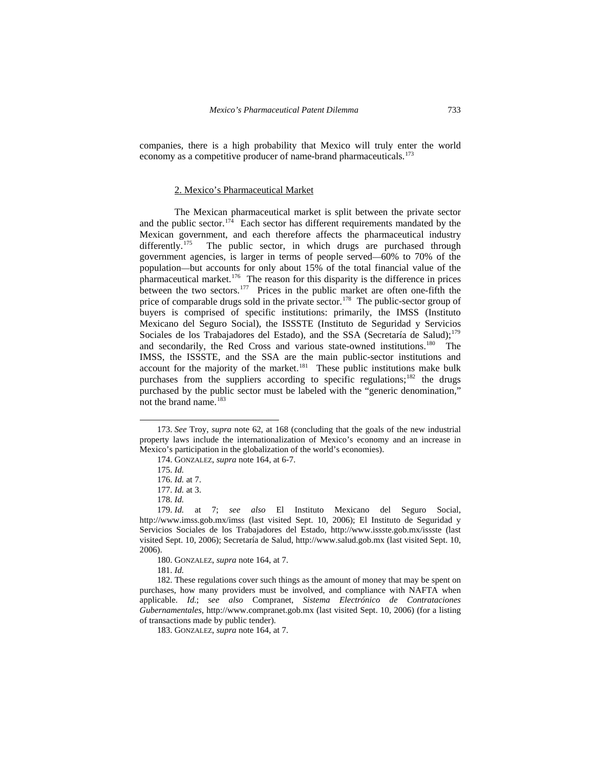companies, there is a high probability that Mexico will truly enter the world economy as a competitive producer of name-brand pharmaceuticals.<sup>[173](#page-16-0)</sup>

## 2. Mexico's Pharmaceutical Market

 The Mexican pharmaceutical market is split between the private sector and the public sector.<sup>[174](#page-16-1)</sup> Each sector has different requirements mandated by the Mexican government, and each therefore affects the pharmaceutical industry differently.<sup>175</sup> The public sector, in which drugs are purchased through The public sector, in which drugs are purchased through government agencies, is larger in terms of people served—60% to 70% of the population—but accounts for only about 15% of the total financial value of the pharmaceutical market.[176](#page-16-3) The reason for this disparity is the difference in prices between the two sectors.<sup>[177](#page-16-4)</sup> Prices in the public market are often one-fifth the price of comparable drugs sold in the private sector.<sup>[178](#page-16-5)</sup> The public-sector group of buyers is comprised of specific institutions: primarily, the IMSS (Instituto Mexicano del Seguro Social), the ISSSTE (Instituto de Seguridad y Servicios Sociales de los Trabajadores del Estado), and the SSA (Secretaría de Salud);<sup>[179](#page-16-6)</sup> and secondarily, the Red Cross and various state-owned institutions.<sup>[180](#page-16-7)</sup> The IMSS, the ISSSTE, and the SSA are the main public-sector institutions and account for the majority of the market.<sup>[181](#page-16-8)</sup> These public institutions make bulk purchases from the suppliers according to specific regulations;<sup>[182](#page-16-9)</sup> the drugs purchased by the public sector must be labeled with the "generic denomination," not the brand name.<sup>[183](#page-16-10)</sup>

 $\overline{a}$ 

180. GONZALEZ, *supra* note 164, at 7.

181. *Id.*

<span id="page-16-1"></span><span id="page-16-0"></span><sup>173.</sup> *See* Troy, *supra* note 62, at 168 (concluding that the goals of the new industrial property laws include the internationalization of Mexico's economy and an increase in Mexico's participation in the globalization of the world's economies).

<sup>174.</sup> GONZALEZ, *supra* note 164, at 6-7.

<sup>175.</sup> *Id.* 

<sup>176.</sup> *Id.* at 7.

<sup>177.</sup> *Id.* at 3.

<sup>178.</sup> *Id.*

<span id="page-16-6"></span><span id="page-16-5"></span><span id="page-16-4"></span><span id="page-16-3"></span><span id="page-16-2"></span><sup>179.</sup> *Id.* at 7; *see also* El Instituto Mexicano del Seguro Social, http://www.imss.gob.mx/imss (last visited Sept. 10, 2006); El Instituto de Seguridad y Servicios Sociales de los Trabajadores del Estado, http://www.issste.gob.mx/issste (last visited Sept. 10, 2006); Secretaría de Salud, http://www.salud.gob.mx (last visited Sept. 10, 2006).

<span id="page-16-10"></span><span id="page-16-9"></span><span id="page-16-8"></span><span id="page-16-7"></span><sup>182.</sup> These regulations cover such things as the amount of money that may be spent on purchases, how many providers must be involved, and compliance with NAFTA when applicable. *Id.*; s*ee also* Compranet, *Sistema Electrónico de Contrataciones Gubernamentales*, http://www.compranet.gob.mx (last visited Sept. 10, 2006) (for a listing of transactions made by public tender).

<sup>183.</sup> GONZALEZ, *supra* note 164, at 7.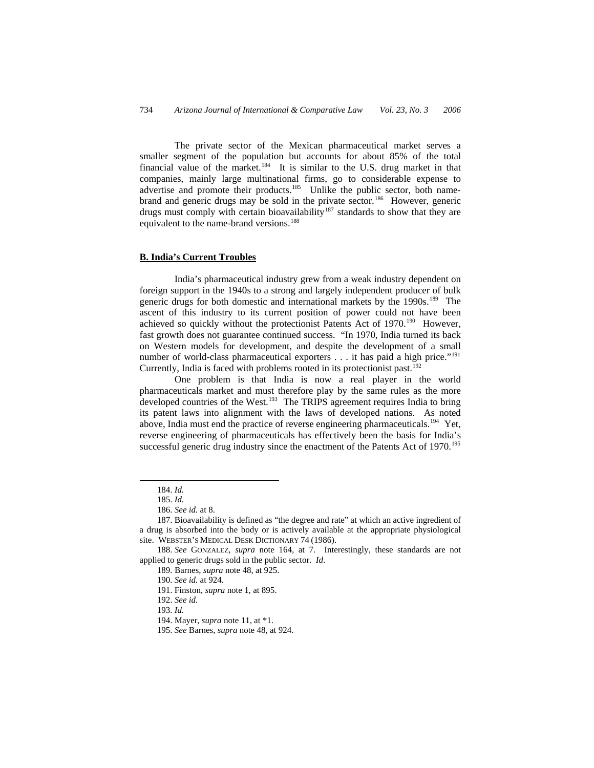The private sector of the Mexican pharmaceutical market serves a smaller segment of the population but accounts for about 85% of the total financial value of the market.<sup>[184](#page-17-0)</sup> It is similar to the U.S. drug market in that companies, mainly large multinational firms, go to considerable expense to advertise and promote their products.<sup>[185](#page-17-1)</sup> Unlike the public sector, both name-brand and generic drugs may be sold in the private sector.<sup>[186](#page-17-2)</sup> However, generic drugs must comply with certain bioavailability<sup>[187](#page-17-3)</sup> standards to show that they are equivalent to the name-brand versions.<sup>[188](#page-17-4)</sup>

## **B. India's Current Troubles**

 India's pharmaceutical industry grew from a weak industry dependent on foreign support in the 1940s to a strong and largely independent producer of bulk generic drugs for both domestic and international markets by the  $1990s$ .<sup>[189](#page-17-5)</sup> The ascent of this industry to its current position of power could not have been achieved so quickly without the protectionist Patents Act of 1970.<sup>[190](#page-17-6)</sup> However, fast growth does not guarantee continued success. "In 1970, India turned its back on Western models for development, and despite the development of a small number of world-class pharmaceutical exporters . . . it has paid a high price."<sup>[191](#page-17-7)</sup> Currently, India is faced with problems rooted in its protectionist past.<sup>[192](#page-17-8)</sup>

 One problem is that India is now a real player in the world pharmaceuticals market and must therefore play by the same rules as the more developed countries of the West.<sup>[193](#page-17-9)</sup> The TRIPS agreement requires India to bring its patent laws into alignment with the laws of developed nations. As noted above, India must end the practice of reverse engineering pharmaceuticals.<sup>[194](#page-17-10)</sup> Yet, reverse engineering of pharmaceuticals has effectively been the basis for India's successful generic drug industry since the enactment of the Patents Act of 1970.<sup>[195](#page-17-11)</sup>

<span id="page-17-0"></span>-

<sup>184.</sup> *Id.*

<sup>185.</sup> *Id.*

<sup>186.</sup> *See id.* at 8.

<span id="page-17-3"></span><span id="page-17-2"></span><span id="page-17-1"></span><sup>187.</sup> Bioavailability is defined as "the degree and rate" at which an active ingredient of a drug is absorbed into the body or is actively available at the appropriate physiological site. WEBSTER'S MEDICAL DESK DICTIONARY 74 (1986).

<span id="page-17-10"></span><span id="page-17-9"></span><span id="page-17-8"></span><span id="page-17-7"></span><span id="page-17-6"></span><span id="page-17-5"></span><span id="page-17-4"></span><sup>188.</sup> *See* GONZALEZ, *supra* note 164, at 7. Interestingly, these standards are not applied to generic drugs sold in the public sector. *Id*.

<sup>189.</sup> Barnes, *supra* note 48, at 925.

<sup>190.</sup> *See id.* at 924.

<sup>191.</sup> Finston, *supra* note 1, at 895.

<sup>192.</sup> *See id.*

<sup>193.</sup> *Id.*

<sup>194.</sup> Mayer, *supra* note 11, at \*1.

<span id="page-17-11"></span><sup>195.</sup> *See* Barnes, *supra* note 48, at 924.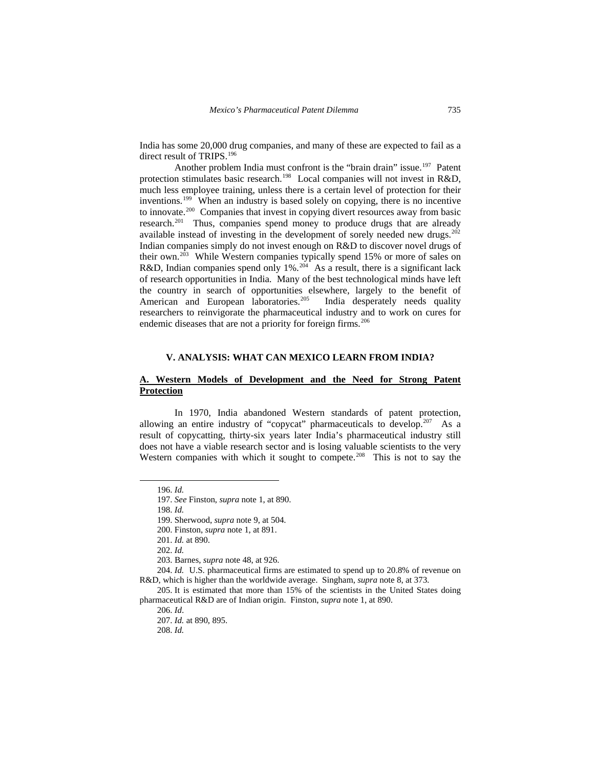India has some 20,000 drug companies, and many of these are expected to fail as a direct result of TRIPS.<sup>[196](#page-18-0)</sup>

Another problem India must confront is the "brain drain" issue.<sup>197</sup> Patent protection stimulates basic research.<sup>[198](#page-18-2)</sup> Local companies will not invest in R&D, much less employee training, unless there is a certain level of protection for their inventions.[199](#page-18-3) When an industry is based solely on copying, there is no incentive to innovate.[200](#page-18-4) Companies that invest in copying divert resources away from basic research.<sup>[201](#page-18-5)</sup> Thus, companies spend money to produce drugs that are already available instead of investing in the development of sorely needed new drugs.<sup>[202](#page-18-6)</sup> Indian companies simply do not invest enough on R&D to discover novel drugs of their own.<sup>[203](#page-18-7)</sup> While Western companies typically spend 15% or more of sales on R&D, Indian companies spend only 1%.<sup>[204](#page-18-8)</sup> As a result, there is a significant lack of research opportunities in India. Many of the best technological minds have left the country in search of opportunities elsewhere, largely to the benefit of American and European laboratories.<sup>[205](#page-18-9)</sup> India desperately needs quality researchers to reinvigorate the pharmaceutical industry and to work on cures for endemic diseases that are not a priority for foreign firms.<sup>[206](#page-18-10)</sup>

## **V. ANALYSIS: WHAT CAN MEXICO LEARN FROM INDIA?**

# **A. Western Models of Development and the Need for Strong Patent Protection**

 In 1970, India abandoned Western standards of patent protection, allowing an entire industry of "copycat" pharmaceuticals to develop.<sup>207</sup> As a result of copycatting, thirty-six years later India's pharmaceutical industry still does not have a viable research sector and is losing valuable scientists to the very Western companies with which it sought to compete.<sup>[208](#page-18-12)</sup> This is not to say the

<span id="page-18-3"></span><span id="page-18-2"></span><span id="page-18-1"></span><span id="page-18-0"></span> $\overline{a}$ 

<span id="page-18-8"></span><span id="page-18-7"></span><span id="page-18-6"></span><span id="page-18-5"></span><span id="page-18-4"></span>204. *Id.* U.S. pharmaceutical firms are estimated to spend up to 20.8% of revenue on R&D, which is higher than the worldwide average. Singham, *supra* note 8, at 373.

<sup>196.</sup> *Id.*

<sup>197.</sup> *See* Finston, *supra* note 1, at 890.

<sup>198.</sup> *Id.*

<sup>199.</sup> Sherwood, *supra* note 9, at 504.

<sup>200.</sup> Finston, *supra* note 1, at 891.

<sup>201.</sup> *Id.* at 890.

<sup>202.</sup> *Id.*

<sup>203.</sup> Barnes, *supra* note 48, at 926.

<span id="page-18-12"></span><span id="page-18-11"></span><span id="page-18-10"></span><span id="page-18-9"></span><sup>205.</sup> It is estimated that more than 15% of the scientists in the United States doing pharmaceutical R&D are of Indian origin. Finston, *supra* note 1, at 890.

<sup>206.</sup> *Id*.

<sup>207.</sup> *Id.* at 890, 895.

<sup>208.</sup> *Id.*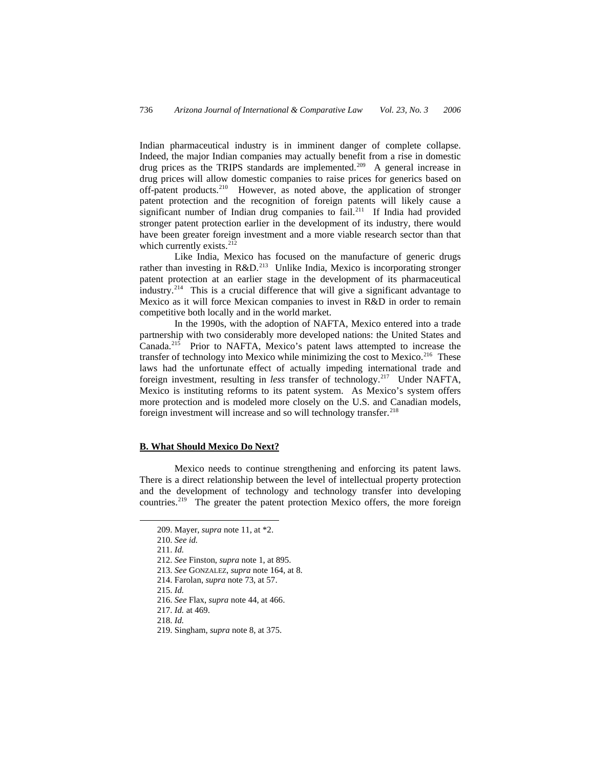Indian pharmaceutical industry is in imminent danger of complete collapse. Indeed, the major Indian companies may actually benefit from a rise in domestic drug prices as the TRIPS standards are implemented.<sup>[209](#page-19-0)</sup> A general increase in drug prices will allow domestic companies to raise prices for generics based on off-patent products.<sup>[210](#page-19-1)</sup> However, as noted above, the application of stronger patent protection and the recognition of foreign patents will likely cause a significant number of Indian drug companies to fail.<sup>[211](#page-19-2)</sup> If India had provided stronger patent protection earlier in the development of its industry, there would have been greater foreign investment and a more viable research sector than that which currently exists.<sup>[212](#page-19-3)</sup>

 Like India, Mexico has focused on the manufacture of generic drugs rather than investing in  $R&D.<sup>213</sup>$  $R&D.<sup>213</sup>$  $R&D.<sup>213</sup>$  Unlike India, Mexico is incorporating stronger patent protection at an earlier stage in the development of its pharmaceutical industry.<sup>[214](#page-19-5)</sup> This is a crucial difference that will give a significant advantage to Mexico as it will force Mexican companies to invest in R&D in order to remain competitive both locally and in the world market.

 In the 1990s, with the adoption of NAFTA, Mexico entered into a trade partnership with two considerably more developed nations: the United States and Canada.[215](#page-19-6) Prior to NAFTA, Mexico's patent laws attempted to increase the transfer of technology into Mexico while minimizing the cost to Mexico.<sup>[216](#page-19-7)</sup> These laws had the unfortunate effect of actually impeding international trade and foreign investment, resulting in *less* transfer of technology.<sup>217</sup> Under NAFTA, Mexico is instituting reforms to its patent system. As Mexico's system offers more protection and is modeled more closely on the U.S. and Canadian models, foreign investment will increase and so will technology transfer.<sup>[218](#page-19-9)</sup>

## **B. What Should Mexico Do Next?**

 Mexico needs to continue strengthening and enforcing its patent laws. There is a direct relationship between the level of intellectual property protection and the development of technology and technology transfer into developing countries.[219](#page-19-10) The greater the patent protection Mexico offers, the more foreign

<span id="page-19-5"></span><span id="page-19-4"></span><span id="page-19-3"></span><span id="page-19-2"></span><span id="page-19-1"></span><span id="page-19-0"></span>-

215. *Id.*

<sup>209.</sup> Mayer, *supra* note 11, at \*2.

<sup>210.</sup> *See id.*

<sup>211.</sup> *Id.* 

<sup>212.</sup> *See* Finston, *supra* note 1, at 895.

<sup>213.</sup> *See* GONZALEZ, *supra* note 164, at 8.

<span id="page-19-6"></span><sup>214.</sup> Farolan, *supra* note 73, at 57.

<sup>216.</sup> *See* Flax, *supra* note 44, at 466.

<span id="page-19-10"></span><span id="page-19-9"></span><span id="page-19-8"></span><span id="page-19-7"></span><sup>217.</sup> *Id.* at 469.

<sup>218.</sup> *Id.* 

<sup>219.</sup> Singham, *supra* note 8, at 375.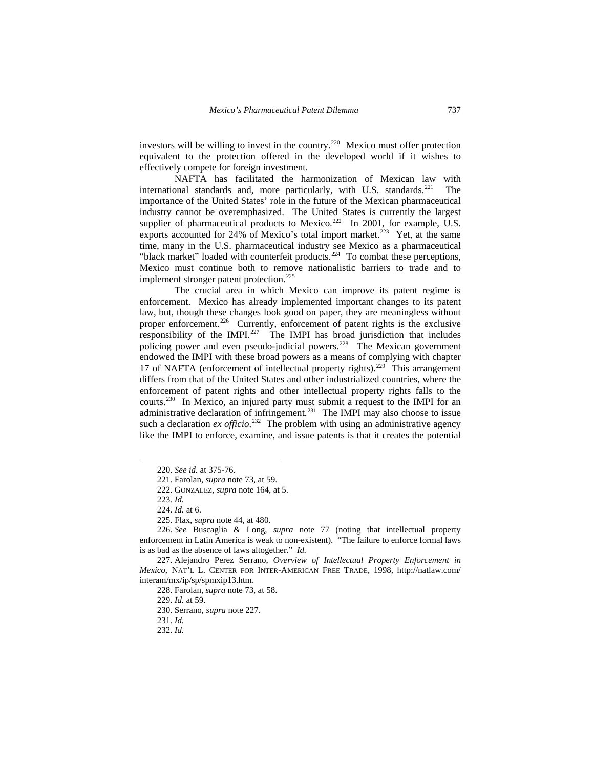investors will be willing to invest in the country.<sup>[220](#page-20-0)</sup> Mexico must offer protection equivalent to the protection offered in the developed world if it wishes to effectively compete for foreign investment.

 NAFTA has facilitated the harmonization of Mexican law with international standards and, more particularly, with U.S. standards.<sup>[221](#page-20-1)</sup> The importance of the United States' role in the future of the Mexican pharmaceutical industry cannot be overemphasized. The United States is currently the largest supplier of pharmaceutical products to Mexico.<sup>[222](#page-20-2)</sup> In 2001, for example, U.S. exports accounted for 24% of Mexico's total import market.<sup>[223](#page-20-3)</sup> Yet, at the same time, many in the U.S. pharmaceutical industry see Mexico as a pharmaceutical "black market" loaded with counterfeit products.<sup>[224](#page-20-4)</sup> To combat these perceptions, Mexico must continue both to remove nationalistic barriers to trade and to implement stronger patent protection.<sup>[225](#page-20-5)</sup>

 The crucial area in which Mexico can improve its patent regime is enforcement. Mexico has already implemented important changes to its patent law, but, though these changes look good on paper, they are meaningless without proper enforcement.<sup>[226](#page-20-6)</sup> Currently, enforcement of patent rights is the exclusive responsibility of the IMPI.[227](#page-20-7) The IMPI has broad jurisdiction that includes policing power and even pseudo-judicial powers.[228](#page-20-8) The Mexican government endowed the IMPI with these broad powers as a means of complying with chapter 17 of NAFTA (enforcement of intellectual property rights).<sup>[229](#page-20-9)</sup> This arrangement differs from that of the United States and other industrialized countries, where the enforcement of patent rights and other intellectual property rights falls to the courts[.230](#page-20-10) In Mexico, an injured party must submit a request to the IMPI for an administrative declaration of infringement.<sup>[231](#page-20-11)</sup> The IMPI may also choose to issue such a declaration  $ex$  *officio*.<sup>[232](#page-20-12)</sup> The problem with using an administrative agency like the IMPI to enforce, examine, and issue patents is that it creates the potential

<span id="page-20-2"></span><span id="page-20-1"></span><span id="page-20-0"></span>-

<span id="page-20-6"></span><span id="page-20-5"></span><span id="page-20-4"></span><span id="page-20-3"></span>226. *See* Buscaglia & Long, *supra* note 77 (noting that intellectual property enforcement in Latin America is weak to non-existent). "The failure to enforce formal laws is as bad as the absence of laws altogether." *Id.*

<sup>220.</sup> *See id.* at 375-76.

<sup>221.</sup> Farolan, *supra* note 73, at 59.

<sup>222.</sup> GONZALEZ, *supra* note 164, at 5.

<sup>223.</sup> *Id.*

<sup>224.</sup> *Id.* at 6.

<sup>225.</sup> Flax, *supra* note 44, at 480.

<span id="page-20-11"></span><span id="page-20-10"></span><span id="page-20-9"></span><span id="page-20-8"></span><span id="page-20-7"></span><sup>227.</sup> Alejandro Perez Serrano, *Overview of Intellectual Property Enforcement in Mexico*, NAT'L L. CENTER FOR INTER-AMERICAN FREE TRADE, 1998, http://natlaw.com/ interam/mx/ip/sp/spmxip13.htm.

<sup>228.</sup> Farolan, *supra* note 73, at 58.

<sup>229.</sup> *Id.* at 59.

<sup>230.</sup> Serrano, *supra* note 227.

<span id="page-20-12"></span><sup>231.</sup> *Id.*

<sup>232.</sup> *Id.*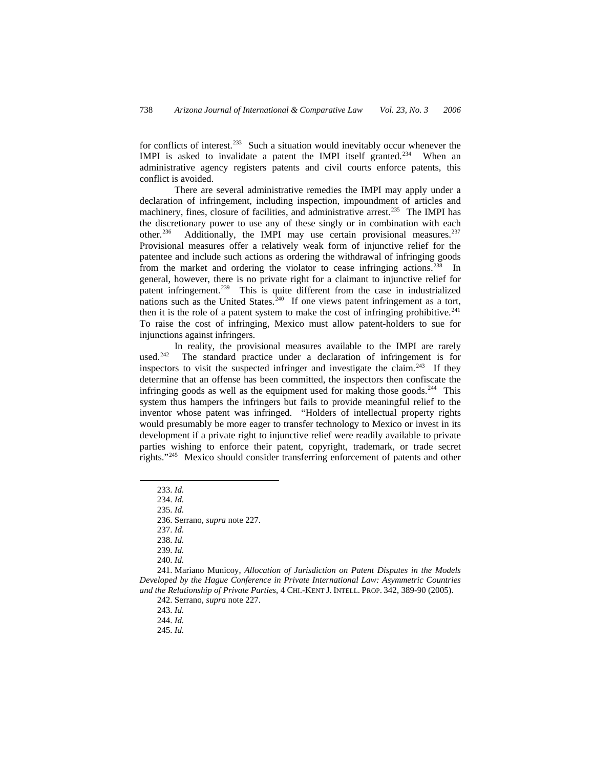for conflicts of interest.<sup>[233](#page-21-0)</sup> Such a situation would inevitably occur whenever the IMPI is asked to invalidate a patent the IMPI itself granted.<sup>[234](#page-21-1)</sup> When an administrative agency registers patents and civil courts enforce patents, this conflict is avoided.

 There are several administrative remedies the IMPI may apply under a declaration of infringement, including inspection, impoundment of articles and machinery, fines, closure of facilities, and administrative arrest.[235](#page-21-2) The IMPI has the discretionary power to use any of these singly or in combination with each other.<sup>236</sup> Additionally, the IMPI may use certain provisional measures.<sup>237</sup> Additionally, the IMPI may use certain provisional measures.<sup>[237](#page-21-4)</sup> Provisional measures offer a relatively weak form of injunctive relief for the patentee and include such actions as ordering the withdrawal of infringing goods from the market and ordering the violator to cease infringing actions.<sup>[238](#page-21-5)</sup> In general, however, there is no private right for a claimant to injunctive relief for patent infringement.<sup>[239](#page-21-6)</sup> This is quite different from the case in industrialized nations such as the United States.<sup> $240$ </sup> If one views patent infringement as a tort, then it is the role of a patent system to make the cost of infringing prohibitive.<sup>[241](#page-21-8)</sup> To raise the cost of infringing, Mexico must allow patent-holders to sue for injunctions against infringers.

 In reality, the provisional measures available to the IMPI are rarely used.<sup>[242](#page-21-9)</sup> The standard practice under a declaration of infringement is for inspectors to visit the suspected infringer and investigate the claim.<sup>[243](#page-21-10)</sup> If they determine that an offense has been committed, the inspectors then confiscate the infringing goods as well as the equipment used for making those goods.<sup>[244](#page-21-11)</sup> This system thus hampers the infringers but fails to provide meaningful relief to the inventor whose patent was infringed. "Holders of intellectual property rights would presumably be more eager to transfer technology to Mexico or invest in its development if a private right to injunctive relief were readily available to private parties wishing to enforce their patent, copyright, trademark, or trade secret rights."[245](#page-21-12) Mexico should consider transferring enforcement of patents and other

<span id="page-21-3"></span><span id="page-21-2"></span><span id="page-21-1"></span><span id="page-21-0"></span>-

235. *Id.*

237. *Id.* 

238. *Id.* 

239. *Id.*

240. *Id.* 

<span id="page-21-12"></span><span id="page-21-11"></span><span id="page-21-10"></span><span id="page-21-9"></span><span id="page-21-8"></span><span id="page-21-7"></span><span id="page-21-6"></span><span id="page-21-5"></span><span id="page-21-4"></span>241. Mariano Municoy, *Allocation of Jurisdiction on Patent Disputes in the Models Developed by the Hague Conference in Private International Law: Asymmetric Countries and the Relationship of Private Parties*, 4 CHI.-KENT J. INTELL. PROP. 342, 389-90 (2005).

242. Serrano, *supra* note 227.

243. *Id.* 

244. *Id.* 

245. *Id.* 

<sup>233.</sup> *Id.*

<sup>234.</sup> *Id.*

<sup>236.</sup> Serrano, *supra* note 227.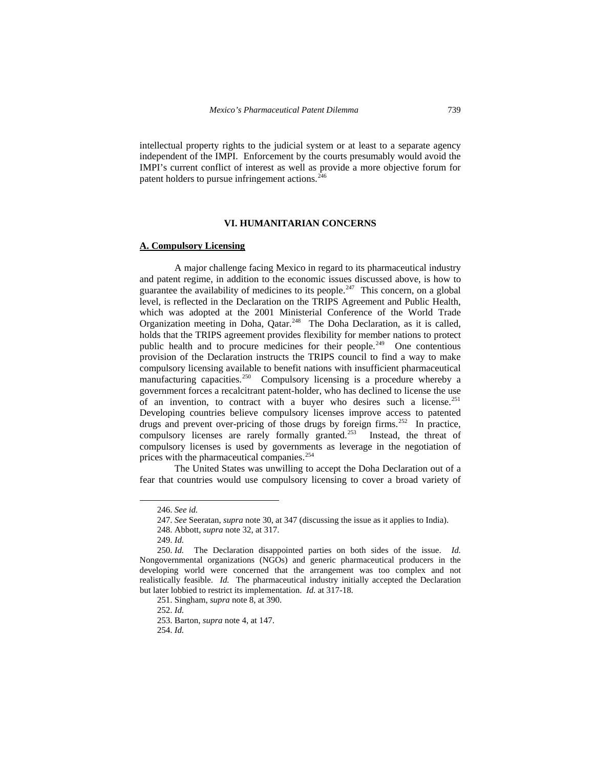intellectual property rights to the judicial system or at least to a separate agency independent of the IMPI. Enforcement by the courts presumably would avoid the IMPI's current conflict of interest as well as provide a more objective forum for patent holders to pursue infringement actions.<sup>[246](#page-22-0)</sup>

## **VI. HUMANITARIAN CONCERNS**

## **A. Compulsory Licensing**

 A major challenge facing Mexico in regard to its pharmaceutical industry and patent regime, in addition to the economic issues discussed above, is how to guarantee the availability of medicines to its people.<sup>[247](#page-22-1)</sup> This concern, on a global level, is reflected in the Declaration on the TRIPS Agreement and Public Health, which was adopted at the 2001 Ministerial Conference of the World Trade Organization meeting in Doha, Qatar.<sup>[248](#page-22-2)</sup> The Doha Declaration, as it is called, holds that the TRIPS agreement provides flexibility for member nations to protect public health and to procure medicines for their people.<sup>249</sup> One contentious provision of the Declaration instructs the TRIPS council to find a way to make compulsory licensing available to benefit nations with insufficient pharmaceutical manufacturing capacities.<sup>[250](#page-22-4)</sup> Compulsory licensing is a procedure whereby a government forces a recalcitrant patent-holder, who has declined to license the use of an invention, to contract with a buyer who desires such a license.<sup>[251](#page-22-5)</sup> Developing countries believe compulsory licenses improve access to patented drugs and prevent over-pricing of those drugs by foreign firms.<sup>[252](#page-22-6)</sup> In practice, compulsory licenses are rarely formally granted.<sup>[253](#page-22-7)</sup> Instead, the threat of compulsory licenses is used by governments as leverage in the negotiation of prices with the pharmaceutical companies.<sup>[254](#page-22-8)</sup>

 The United States was unwilling to accept the Doha Declaration out of a fear that countries would use compulsory licensing to cover a broad variety of

<sup>246.</sup> *See id.* 

<sup>247.</sup> *See* Seeratan, *supra* note 30, at 347 (discussing the issue as it applies to India).

<sup>248.</sup> Abbott, *supra* note 32, at 317.

<sup>249.</sup> *Id.*

<span id="page-22-7"></span><span id="page-22-6"></span><span id="page-22-5"></span><span id="page-22-4"></span><span id="page-22-3"></span><span id="page-22-2"></span><span id="page-22-1"></span><span id="page-22-0"></span><sup>250.</sup> *Id.* The Declaration disappointed parties on both sides of the issue. *Id.* Nongovernmental organizations (NGOs) and generic pharmaceutical producers in the developing world were concerned that the arrangement was too complex and not realistically feasible. *Id.* The pharmaceutical industry initially accepted the Declaration but later lobbied to restrict its implementation. *Id.* at 317-18.

<sup>251.</sup> Singham, *supra* note 8, at 390.

<sup>252.</sup> *Id.*

<sup>253.</sup> Barton, *supra* note 4, at 147.

<span id="page-22-8"></span><sup>254.</sup> *Id.*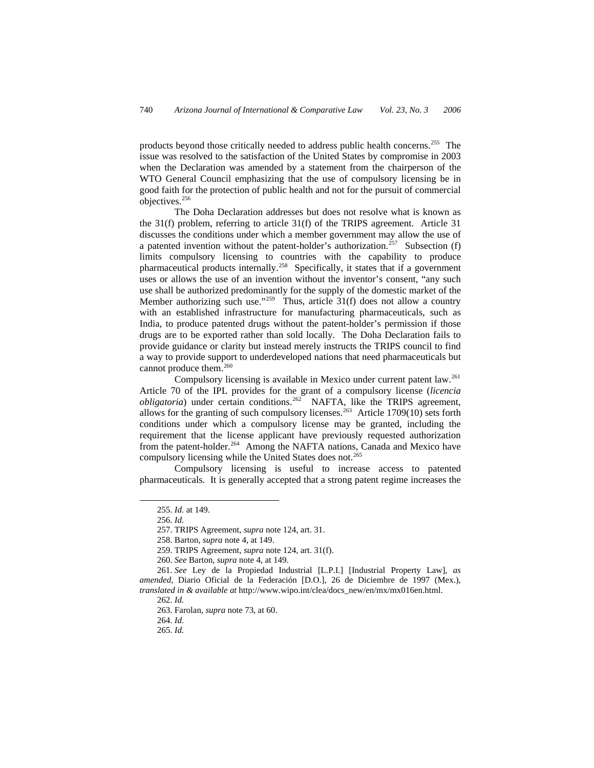products beyond those critically needed to address public health concerns.<sup>[255](#page-23-0)</sup> The issue was resolved to the satisfaction of the United States by compromise in 2003 when the Declaration was amended by a statement from the chairperson of the WTO General Council emphasizing that the use of compulsory licensing be in good faith for the protection of public health and not for the pursuit of commercial objectives.<sup>[256](#page-23-1)</sup>

 The Doha Declaration addresses but does not resolve what is known as the 31(f) problem, referring to article 31(f) of the TRIPS agreement. Article 31 discusses the conditions under which a member government may allow the use of a patented invention without the patent-holder's authorization.<sup>[257](#page-23-2)</sup> Subsection (f) limits compulsory licensing to countries with the capability to produce pharmaceutical products internally.[258](#page-23-3) Specifically, it states that if a government uses or allows the use of an invention without the inventor's consent, "any such use shall be authorized predominantly for the supply of the domestic market of the Member authorizing such use."<sup>[259](#page-23-4)</sup> Thus, article  $31(f)$  does not allow a country with an established infrastructure for manufacturing pharmaceuticals, such as India, to produce patented drugs without the patent-holder's permission if those drugs are to be exported rather than sold locally. The Doha Declaration fails to provide guidance or clarity but instead merely instructs the TRIPS council to find a way to provide support to underdeveloped nations that need pharmaceuticals but cannot produce them.<sup>[260](#page-23-5)</sup>

 Compulsory licensing is available in Mexico under current patent law.[261](#page-23-6) Article 70 of the IPL provides for the grant of a compulsory license (*licencia obligatoria*) under certain conditions.<sup>[262](#page-23-7)</sup> NAFTA, like the TRIPS agreement, allows for the granting of such compulsory licenses.<sup>[263](#page-23-8)</sup> Article 1709(10) sets forth conditions under which a compulsory license may be granted, including the requirement that the license applicant have previously requested authorization from the patent-holder.<sup>[264](#page-23-9)</sup> Among the NAFTA nations, Canada and Mexico have compulsory licensing while the United States does not.<sup>265</sup>

<span id="page-23-0"></span> Compulsory licensing is useful to increase access to patented pharmaceuticals. It is generally accepted that a strong patent regime increases the

<sup>255.</sup> *Id.* at 149.

<sup>256.</sup> *Id.*

<sup>257.</sup> TRIPS Agreement, *supra* note 124, art. 31.

<sup>258.</sup> Barton, *supra* note 4, at 149.

<sup>259.</sup> TRIPS Agreement, *supra* note 124, art. 31(f).

<sup>260.</sup> *See* Barton, *supra* note 4, at 149.

<span id="page-23-10"></span><span id="page-23-9"></span><span id="page-23-8"></span><span id="page-23-7"></span><span id="page-23-6"></span><span id="page-23-5"></span><span id="page-23-4"></span><span id="page-23-3"></span><span id="page-23-2"></span><span id="page-23-1"></span><sup>261.</sup> *See* Ley de la Propiedad Industrial [L.P.I.] [Industrial Property Law], *as amended,* Diario Oficial de la Federación [D.O.], 26 de Diciembre de 1997 (Mex.), *translated in & available at* http://www.wipo.int/clea/docs\_new/en/mx/mx016en.html.

<sup>262.</sup> *Id.*

<sup>263.</sup> Farolan, *supra* note 73, at 60.

<sup>264.</sup> *Id.*

<sup>265.</sup> *Id.*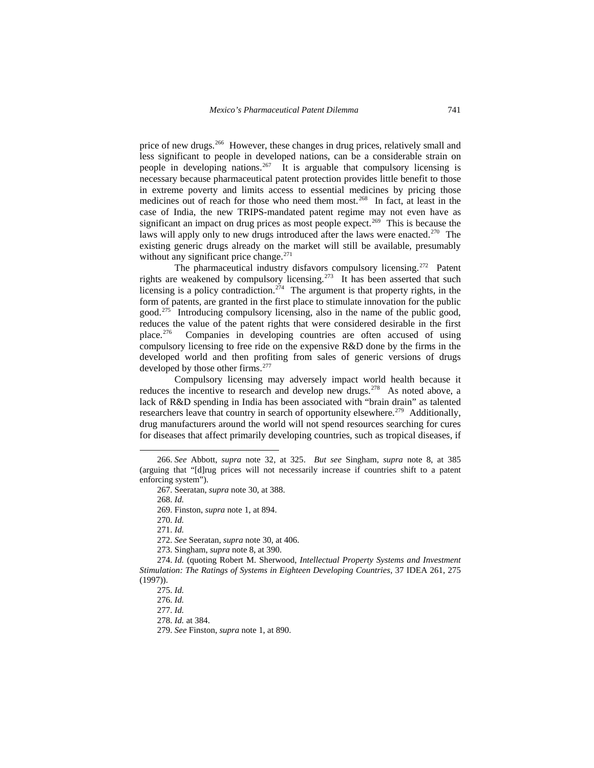price of new drugs.[266](#page-24-0) However, these changes in drug prices, relatively small and less significant to people in developed nations, can be a considerable strain on people in developing nations.<sup>[267](#page-24-1)</sup> It is arguable that compulsory licensing is necessary because pharmaceutical patent protection provides little benefit to those in extreme poverty and limits access to essential medicines by pricing those medicines out of reach for those who need them most.<sup>[268](#page-24-2)</sup> In fact, at least in the case of India, the new TRIPS-mandated patent regime may not even have as significant an impact on drug prices as most people expect.<sup>269</sup> This is because the laws will apply only to new drugs introduced after the laws were enacted.<sup>[270](#page-24-4)</sup> The existing generic drugs already on the market will still be available, presumably without any significant price change.<sup>271</sup>

The pharmaceutical industry disfavors compulsory licensing.<sup>[272](#page-24-6)</sup> Patent rights are weakened by compulsory licensing.[273](#page-24-7) It has been asserted that such licensing is a policy contradiction.<sup>[274](#page-24-8)</sup> The argument is that property rights, in the form of patents, are granted in the first place to stimulate innovation for the public good.[275](#page-24-9) Introducing compulsory licensing, also in the name of the public good, reduces the value of the patent rights that were considered desirable in the first place.[276](#page-24-10) Companies in developing countries are often accused of using compulsory licensing to free ride on the expensive R&D done by the firms in the developed world and then profiting from sales of generic versions of drugs developed by those other firms.<sup>[277](#page-24-11)</sup>

 Compulsory licensing may adversely impact world health because it reduces the incentive to research and develop new drugs.<sup>[278](#page-24-12)</sup> As noted above, a lack of R&D spending in India has been associated with "brain drain" as talented researchers leave that country in search of opportunity elsewhere.<sup>279</sup> Additionally, drug manufacturers around the world will not spend resources searching for cures for diseases that affect primarily developing countries, such as tropical diseases, if

 $\overline{a}$ 

270. *Id.*

271. *Id.*

272. *See* Seeratan, *supra* note 30, at 406.

273. Singham, *supra* note 8, at 390.

<span id="page-24-13"></span><span id="page-24-12"></span><span id="page-24-11"></span><span id="page-24-10"></span><span id="page-24-9"></span><span id="page-24-8"></span><span id="page-24-7"></span><span id="page-24-6"></span><span id="page-24-5"></span><span id="page-24-4"></span><span id="page-24-3"></span>274. *Id.* (quoting Robert M. Sherwood, *Intellectual Property Systems and Investment Stimulation: The Ratings of Systems in Eighteen Developing Countries*, 37 IDEA 261, 275 (1997)).

277. *Id.*

278. *Id.* at 384.

279. *See* Finston, *supra* note 1, at 890.

<span id="page-24-2"></span><span id="page-24-1"></span><span id="page-24-0"></span><sup>266.</sup> *See* Abbott, *supra* note 32, at 325. *But see* Singham, *supra* note 8, at 385 (arguing that "[d]rug prices will not necessarily increase if countries shift to a patent enforcing system").

<sup>267.</sup> Seeratan, *supra* note 30, at 388.

<sup>268.</sup> *Id.*

<sup>269.</sup> Finston, *supra* note 1, at 894.

<sup>275.</sup> *Id.* 

<sup>276.</sup> *Id.*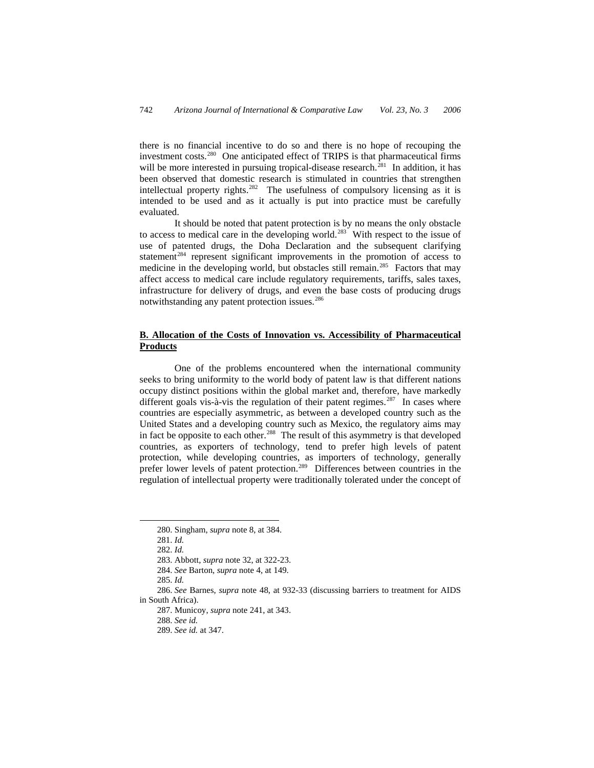there is no financial incentive to do so and there is no hope of recouping the investment costs.<sup>[280](#page-25-0)</sup> One anticipated effect of TRIPS is that pharmaceutical firms will be more interested in pursuing tropical-disease research.<sup>[281](#page-25-1)</sup> In addition, it has been observed that domestic research is stimulated in countries that strengthen intellectual property rights.<sup>[282](#page-25-2)</sup> The usefulness of compulsory licensing as it is intended to be used and as it actually is put into practice must be carefully evaluated.

 It should be noted that patent protection is by no means the only obstacle to access to medical care in the developing world.<sup>[283](#page-25-3)</sup> With respect to the issue of use of patented drugs, the Doha Declaration and the subsequent clarifying statement<sup>[284](#page-25-4)</sup> represent significant improvements in the promotion of access to medicine in the developing world, but obstacles still remain.<sup>[285](#page-25-5)</sup> Factors that may affect access to medical care include regulatory requirements, tariffs, sales taxes, infrastructure for delivery of drugs, and even the base costs of producing drugs notwithstanding any patent protection issues.<sup>[286](#page-25-6)</sup>

# **B. Allocation of the Costs of Innovation vs. Accessibility of Pharmaceutical Products**

 One of the problems encountered when the international community seeks to bring uniformity to the world body of patent law is that different nations occupy distinct positions within the global market and, therefore, have markedly different goals vis-à-vis the regulation of their patent regimes.<sup>[287](#page-25-7)</sup> In cases where countries are especially asymmetric, as between a developed country such as the United States and a developing country such as Mexico, the regulatory aims may in fact be opposite to each other.<sup>[288](#page-25-8)</sup> The result of this asymmetry is that developed countries, as exporters of technology, tend to prefer high levels of patent protection, while developing countries, as importers of technology, generally prefer lower levels of patent protection.<sup>[289](#page-25-9)</sup> Differences between countries in the regulation of intellectual property were traditionally tolerated under the concept of

<span id="page-25-2"></span><span id="page-25-1"></span><span id="page-25-0"></span>-

<sup>280.</sup> Singham, *supra* note 8, at 384.

<sup>281.</sup> *Id.*

<sup>282.</sup> *Id.*

<sup>283.</sup> Abbott, *supra* note 32, at 322-23.

<sup>284.</sup> *See* Barton, *supra* note 4, at 149.

<sup>285.</sup> *Id.* 

<span id="page-25-9"></span><span id="page-25-8"></span><span id="page-25-7"></span><span id="page-25-6"></span><span id="page-25-5"></span><span id="page-25-4"></span><span id="page-25-3"></span><sup>286.</sup> *See* Barnes, *supra* note 48, at 932-33 (discussing barriers to treatment for AIDS in South Africa).

<sup>287.</sup> Municoy, *supra* note 241, at 343.

<sup>288.</sup> *See id.*

<sup>289.</sup> *See id.* at 347.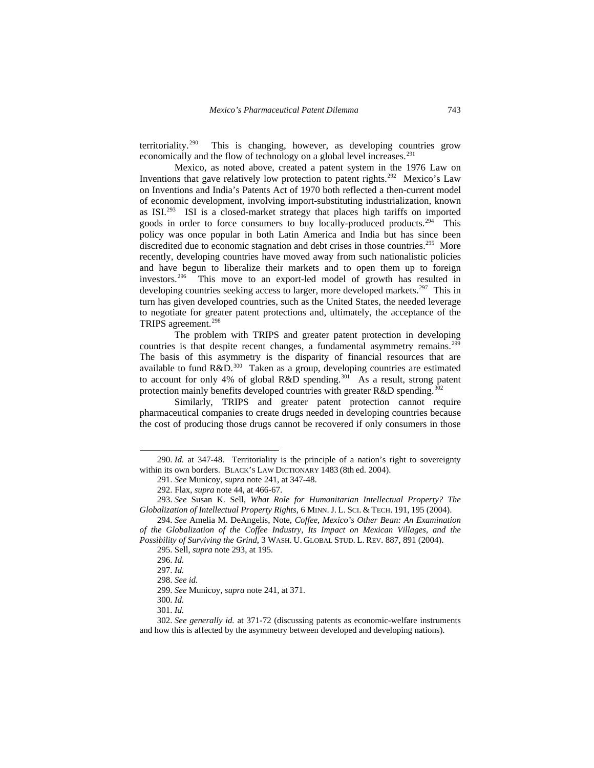territoriality.<sup>[290](#page-26-0)</sup> This is changing, however, as developing countries grow economically and the flow of technology on a global level increases.<sup>[291](#page-26-1)</sup>

 Mexico, as noted above, created a patent system in the 1976 Law on Inventions that gave relatively low protection to patent rights.<sup>[292](#page-26-2)</sup> Mexico's Law on Inventions and India's Patents Act of 1970 both reflected a then-current model of economic development, involving import-substituting industrialization, known as ISI.[293](#page-26-3) ISI is a closed-market strategy that places high tariffs on imported goods in order to force consumers to buy locally-produced products.<sup>294</sup> This policy was once popular in both Latin America and India but has since been discredited due to economic stagnation and debt crises in those countries.<sup>[295](#page-26-5)</sup> More recently, developing countries have moved away from such nationalistic policies and have begun to liberalize their markets and to open them up to foreign investors.[296](#page-26-6) This move to an export-led model of growth has resulted in developing countries seeking access to larger, more developed markets.<sup>[297](#page-26-7)</sup> This in turn has given developed countries, such as the United States, the needed leverage to negotiate for greater patent protections and, ultimately, the acceptance of the TRIPS agreement.<sup>[298](#page-26-8)</sup>

 The problem with TRIPS and greater patent protection in developing countries is that despite recent changes, a fundamental asymmetry remains.<sup>[299](#page-26-9)</sup> The basis of this asymmetry is the disparity of financial resources that are available to fund  $R&D.<sup>300</sup>$  $R&D.<sup>300</sup>$  $R&D.<sup>300</sup>$  Taken as a group, developing countries are estimated to account for only 4% of global R&D spending.<sup>[301](#page-26-11)</sup> As a result, strong patent protection mainly benefits developed countries with greater  $R&D$  spending.<sup>30</sup>

 Similarly, TRIPS and greater patent protection cannot require pharmaceutical companies to create drugs needed in developing countries because the cost of producing those drugs cannot be recovered if only consumers in those

<span id="page-26-0"></span><sup>290.</sup> *Id.* at 347-48. Territoriality is the principle of a nation's right to sovereignty within its own borders. BLACK'S LAW DICTIONARY 1483 (8th ed. 2004).

<sup>291.</sup> *See* Municoy, *supra* note 241, at 347-48.

<sup>292.</sup> Flax, *supra* note 44, at 466-67.

<span id="page-26-3"></span><span id="page-26-2"></span><span id="page-26-1"></span><sup>293.</sup> *See* Susan K. Sell, *What Role for Humanitarian Intellectual Property? The Globalization of Intellectual Property Rights*, 6 MINN. J. L. SCI. & TECH. 191, 195 (2004).

<span id="page-26-6"></span><span id="page-26-5"></span><span id="page-26-4"></span><sup>294.</sup> *See* Amelia M. DeAngelis, Note, *Coffee, Mexico's Other Bean: An Examination of the Globalization of the Coffee Industry, Its Impact on Mexican Villages, and the Possibility of Surviving the Grind*, 3 WASH. U. GLOBAL STUD. L. REV. 887, 891 (2004).

<sup>295.</sup> Sell, *supra* note 293, at 195.

<sup>296.</sup> *Id.*

<sup>297.</sup> *Id.*

<sup>298.</sup> *See id.*

<sup>299.</sup> *See* Municoy, *supra* note 241, at 371.

<sup>300.</sup> *Id.*

<sup>301.</sup> *Id.*

<span id="page-26-12"></span><span id="page-26-11"></span><span id="page-26-10"></span><span id="page-26-9"></span><span id="page-26-8"></span><span id="page-26-7"></span><sup>302.</sup> *See generally id.* at 371-72 (discussing patents as economic-welfare instruments and how this is affected by the asymmetry between developed and developing nations).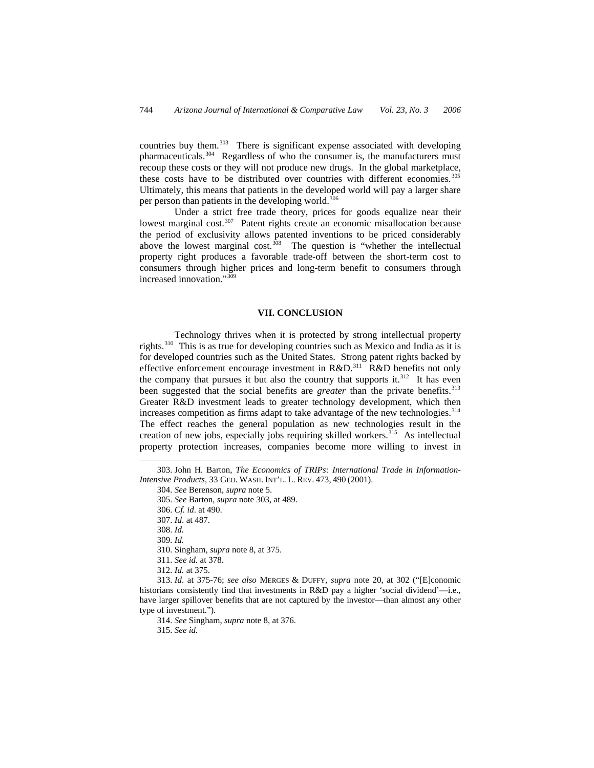countries buy them.[303](#page-27-0) There is significant expense associated with developing pharmaceuticals.<sup>[304](#page-27-1)</sup> Regardless of who the consumer is, the manufacturers must recoup these costs or they will not produce new drugs. In the global marketplace, these costs have to be distributed over countries with different economies.<sup>[305](#page-27-2)</sup> Ultimately, this means that patients in the developed world will pay a larger share per person than patients in the developing world.<sup>[306](#page-27-3)</sup>

 Under a strict free trade theory, prices for goods equalize near their lowest marginal cost.<sup>[307](#page-27-4)</sup> Patent rights create an economic misallocation because the period of exclusivity allows patented inventions to be priced considerably above the lowest marginal cost. $308$  The question is "whether the intellectual property right produces a favorable trade-off between the short-term cost to consumers through higher prices and long-term benefit to consumers through increased innovation."[309](#page-27-6)

### **VII. CONCLUSION**

 Technology thrives when it is protected by strong intellectual property rights.[310](#page-27-7) This is as true for developing countries such as Mexico and India as it is for developed countries such as the United States. Strong patent rights backed by effective enforcement encourage investment in R&D.<sup>[311](#page-27-8)</sup> R&D benefits not only the company that pursues it but also the country that supports it. $312$  It has even been suggested that the social benefits are *greater* than the private benefits.<sup>[313](#page-27-10)</sup> Greater R&D investment leads to greater technology development, which then increases competition as firms adapt to take advantage of the new technologies.<sup>[314](#page-27-11)</sup> The effect reaches the general population as new technologies result in the creation of new jobs, especially jobs requiring skilled workers.<sup>[315](#page-27-12)</sup> As intellectual property protection increases, companies become more willing to invest in

-

309. *Id.*

315. *See id.* 

<span id="page-27-4"></span><span id="page-27-3"></span><span id="page-27-2"></span><span id="page-27-1"></span><span id="page-27-0"></span><sup>303.</sup> John H. Barton, *The Economics of TRIPs: International Trade in Information-Intensive Products*, 33 GEO. WASH. INT'L. L. REV. 473, 490 (2001).

<sup>304.</sup> *See* Berenson, *supra* note 5.

<sup>305.</sup> *See* Barton, *supra* note 303, at 489.

<sup>306.</sup> *Cf. id*. at 490.

<sup>307.</sup> *Id*. at 487.

<sup>308.</sup> *Id.*

<sup>310.</sup> Singham, *supra* note 8, at 375.

<sup>311.</sup> *See id.* at 378.

<sup>312.</sup> *Id.* at 375.

<span id="page-27-12"></span><span id="page-27-11"></span><span id="page-27-10"></span><span id="page-27-9"></span><span id="page-27-8"></span><span id="page-27-7"></span><span id="page-27-6"></span><span id="page-27-5"></span><sup>313.</sup> *Id*. at 375-76; *see also* MERGES & DUFFY, *supra* note 20, at 302 ("[E]conomic historians consistently find that investments in R&D pay a higher 'social dividend'—i.e., have larger spillover benefits that are not captured by the investor—than almost any other type of investment.").

<sup>314.</sup> *See* Singham, *supra* note 8, at 376.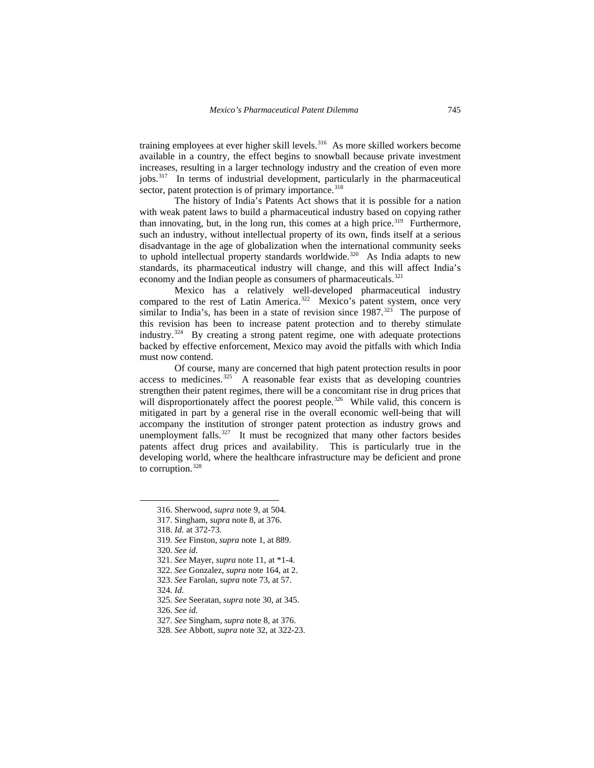training employees at ever higher skill levels.<sup>[316](#page-28-0)</sup> As more skilled workers become available in a country, the effect begins to snowball because private investment increases, resulting in a larger technology industry and the creation of even more jobs.[317](#page-28-1) In terms of industrial development, particularly in the pharmaceutical sector, patent protection is of primary importance.<sup>[318](#page-28-2)</sup>

 The history of India's Patents Act shows that it is possible for a nation with weak patent laws to build a pharmaceutical industry based on copying rather than innovating, but, in the long run, this comes at a high price.<sup>[319](#page-28-3)</sup> Furthermore, such an industry, without intellectual property of its own, finds itself at a serious disadvantage in the age of globalization when the international community seeks to uphold intellectual property standards worldwide.<sup>[320](#page-28-4)</sup> As India adapts to new standards, its pharmaceutical industry will change, and this will affect India's economy and the Indian people as consumers of pharmaceuticals.<sup>[321](#page-28-5)</sup>

 Mexico has a relatively well-developed pharmaceutical industry compared to the rest of Latin America.<sup>[322](#page-28-6)</sup> Mexico's patent system, once very similar to India's, has been in a state of revision since  $1987$ .<sup>[323](#page-28-7)</sup> The purpose of this revision has been to increase patent protection and to thereby stimulate industry.[324](#page-28-8) By creating a strong patent regime, one with adequate protections backed by effective enforcement, Mexico may avoid the pitfalls with which India must now contend.

 Of course, many are concerned that high patent protection results in poor access to medicines.<sup>[325](#page-28-9)</sup> A reasonable fear exists that as developing countries strengthen their patent regimes, there will be a concomitant rise in drug prices that will disproportionately affect the poorest people.<sup>[326](#page-28-10)</sup> While valid, this concern is mitigated in part by a general rise in the overall economic well-being that will accompany the institution of stronger patent protection as industry grows and unemployment falls.<sup>[327](#page-28-11)</sup> It must be recognized that many other factors besides patents affect drug prices and availability. This is particularly true in the developing world, where the healthcare infrastructure may be deficient and prone to corruption.<sup>[328](#page-28-12)</sup>

- <span id="page-28-5"></span>321. *See* Mayer, *supra* note 11, at \*1-4.
- <span id="page-28-6"></span>322. *See* Gonzalez, *supra* note 164, at 2.
- <span id="page-28-7"></span>323. *See* Farolan, *supra* note 73, at 57.
- <span id="page-28-8"></span>324. *Id.*
- <span id="page-28-9"></span>325. *See* Seeratan, *supra* note 30, at 345.
- <span id="page-28-10"></span>326. *See id.*
- <span id="page-28-11"></span>327. *See* Singham, *supra* note 8, at 376.
- <span id="page-28-12"></span>328. *See* Abbott, *supra* note 32, at 322-23.

<span id="page-28-0"></span><sup>316.</sup> Sherwood, *supra* note 9, at 504.

<span id="page-28-1"></span><sup>317.</sup> Singham, *supra* note 8, at 376.

<span id="page-28-2"></span><sup>318.</sup> *Id.* at 372-73.

<span id="page-28-3"></span><sup>319.</sup> *See* Finston, *supra* note 1, at 889.

<span id="page-28-4"></span><sup>320.</sup> *See id*.